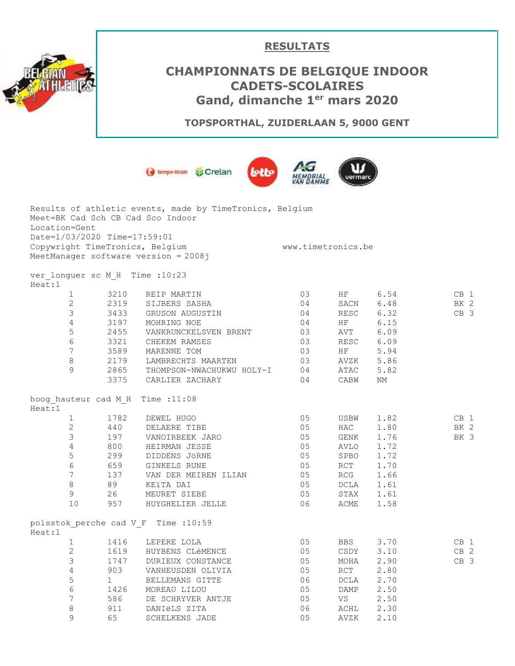

## **RESULTATS**

## **CHAMPIONNATS DE BELGIQUE INDOOR CADETS-SCOLAIRES Gand, dimanche 1er mars 2020**

**TOPSPORTHAL, ZUIDERLAAN 5, 9000 GENT**



|               |                              | Results of athletic events, made by TimeTronics, Belgium |                    |      |      |                 |
|---------------|------------------------------|----------------------------------------------------------|--------------------|------|------|-----------------|
|               |                              | Meet=BK Cad Sch CB Cad Sco Indoor                        |                    |      |      |                 |
| Location=Gent |                              |                                                          |                    |      |      |                 |
|               | Date=1/03/2020 Time=17:59:01 |                                                          |                    |      |      |                 |
|               |                              | Copywright TimeTronics, Belgium                          | www.timetronics.be |      |      |                 |
|               |                              | MeetManager software version = 2008j                     |                    |      |      |                 |
|               |                              | ver longuer sc M H Time : 10:23                          |                    |      |      |                 |
| Heat:1        |                              |                                                          |                    |      |      |                 |
|               | $\mathbf{1}$                 | 3210<br>REIP MARTIN                                      | 03                 | HF   | 6.54 | CB 1            |
|               | $\overline{2}$               | 2319<br>SIJBERS SASHA                                    | 04                 | SACN | 6.48 | BK 2            |
|               | 3                            | 3433 GRUSON AUGUSTIN                                     | 04                 | RESC | 6.32 | CB 3            |
|               | $\overline{4}$               | 3197<br>MOHRING NOE                                      | 04                 | HF   | 6.15 |                 |
|               | $\mathbf 5$<br>2455          | VANKRUNCKELSVEN BRENT                                    | 03                 | AVT  | 6.09 |                 |
|               | 6                            | 3321 CHEKEM RAMSES                                       | 03                 | RESC | 6.09 |                 |
|               | $7\overline{ }$              | 3589<br>MARENNE TOM                                      | 03                 | HF   | 5.94 |                 |
|               | $\,8\,$                      | LAMBRECHTS MAARTEN                                       | 03                 | AVZK | 5.86 |                 |
|               | 9                            | 2179<br>2865<br>THOMPSON-NWACHUKWU HOLY-I                | 04                 | ATAC | 5.82 |                 |
|               | 3375                         | CARLIER ZACHARY                                          | 04                 | CABW | ΝM   |                 |
|               |                              | hoog hauteur cad M H Time : 11:08                        |                    |      |      |                 |
| Heat:1        |                              |                                                          |                    |      |      |                 |
|               | $\mathbf{1}$<br>1782         | DEWEL HUGO                                               | 05                 | USBW | 1.82 | CB 1            |
|               | $\overline{2}$<br>440        | DELAERE TIBE                                             | 05                 | HAC  | 1.80 | BK 2            |
|               | $\mathfrak{Z}$               | 197<br>VANOIRBEEK JARO                                   | 05                 | GENK | 1.76 | BK 3            |
|               | $\overline{4}$               | 800<br>HEIRMAN JESSE                                     | 05                 | AVLO | 1.72 |                 |
|               | 5                            | 299<br>659<br>DIDDENS JÖRNE                              | 05                 | SPBO | 1.72 |                 |
|               | $\epsilon$<br>659            | GINKELS RUNE                                             | 05                 | RCT  | 1.70 |                 |
|               | $7\phantom{.}$               | 137<br>VAN DER MEIREN ILIAN                              | 05                 | RCG  | 1.66 |                 |
|               | 8<br>89                      | KEïTA DAI                                                | 05                 | DCLA | 1.61 |                 |
|               | $\overline{9}$<br>26         | MEURET SIEBE                                             | 05                 | STAX | 1.61 |                 |
|               | 10<br>957                    | HUYGHELIER JELLE                                         | 06                 | ACME | 1.58 |                 |
| Heat:1        |                              | polsstok perche cad V F Time : 10:59                     |                    |      |      |                 |
|               | $\mathbf{1}$                 | 1416 LEPERE LOLA                                         | 05                 | BBS  | 3.70 | CB <sub>1</sub> |
|               | $\overline{2}$               |                                                          | 05                 | CSDY | 3.10 | CB <sub>2</sub> |
|               | 3                            | 1619 HUYBENS CLÉMENCE<br>1747 DURIEUX CONSTANCE          | 05                 | MOHA | 2.90 | CB 3            |
|               | 4                            | 903<br>VANHEUSDEN OLIVIA                                 | 05                 | RCT  | 2.80 |                 |
|               | 5<br>$\mathbf{1}$            | BELLEMANS GITTE                                          | 06                 | DCLA | 2.70 |                 |
|               | 6                            | 1426<br>MOREAU LILOU                                     | 05                 | DAMP | 2.50 |                 |
|               | 7                            | 586<br>DE SCHRYVER ANTJE                                 | 05                 | VS   | 2.50 |                 |
|               | 8<br>911                     | DANIËLS ZITA                                             | 06                 | ACHL | 2.30 |                 |
|               | 9<br>65                      | <b>SCHELKENS JADE</b>                                    | 05                 | AVZK | 2.10 |                 |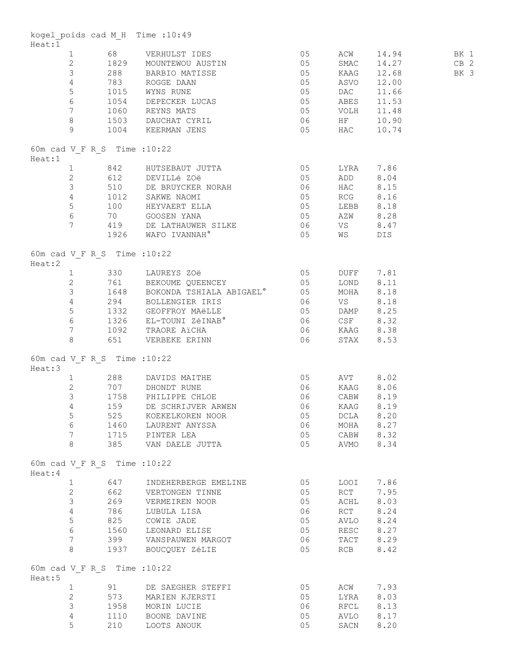| Heat:1 |                        |                              | kogel poids cad M H Time : 10:49                                                                                                                                                                                                                                                                                                                                     |              |                        |                       |        |
|--------|------------------------|------------------------------|----------------------------------------------------------------------------------------------------------------------------------------------------------------------------------------------------------------------------------------------------------------------------------------------------------------------------------------------------------------------|--------------|------------------------|-----------------------|--------|
|        |                        |                              | 1 68 VERHULST IDES 05<br>2 1829 MOUNTEWOU AUSTIN 05                                                                                                                                                                                                                                                                                                                  |              |                        | ACW 14.94             | BK 1   |
|        |                        |                              |                                                                                                                                                                                                                                                                                                                                                                      |              |                        | SMAC 14.27            | $CB$ 2 |
|        |                        |                              |                                                                                                                                                                                                                                                                                                                                                                      |              |                        | KAAG 12.68            | BK 3   |
|        |                        |                              |                                                                                                                                                                                                                                                                                                                                                                      |              |                        | ASVO 12.00            |        |
|        |                        |                              |                                                                                                                                                                                                                                                                                                                                                                      |              |                        |                       |        |
|        |                        |                              |                                                                                                                                                                                                                                                                                                                                                                      |              |                        |                       |        |
|        |                        |                              |                                                                                                                                                                                                                                                                                                                                                                      |              |                        |                       |        |
|        |                        |                              |                                                                                                                                                                                                                                                                                                                                                                      |              |                        |                       |        |
|        |                        |                              | 3 288 BARBIO MATISSE 05 BARG 12.68<br>4 783 ROGGE DAAN 05 ASVO 12.00<br>5 1015 WYNS RUNE 05 DAC 11.66<br>6 1054 DEPECKER LUCAS 05 DAC 11.66<br>7 1060 REYNS MATS 05 VOLH 11.48<br>8 1503 DAUCHAT CYRIL 06 HF 10.90<br>9 1004 KEERMAN JENS                                                                                                                            |              |                        |                       |        |
| Heat:1 |                        | 60m cad V_F R S Time : 10:22 |                                                                                                                                                                                                                                                                                                                                                                      |              |                        |                       |        |
|        |                        |                              | 1 842 HUTSEBAUT JUTTA 05 LYRA 7.86<br>2 612 DEVILLé ZOë 05 ADD 8.04<br>3 510 DE BRUYCKER NORAH 06 HAC 8.15<br>4 1012 SAKWE NAOMI 05 RCG 8.16<br>5 100 HEYVAERT ELLA 05 LEBB 8.18<br>6 70 GOOSEN YANA 05 AZW 8.28                                                                                                                                                     |              |                        |                       |        |
|        |                        |                              |                                                                                                                                                                                                                                                                                                                                                                      |              |                        |                       |        |
|        |                        |                              |                                                                                                                                                                                                                                                                                                                                                                      |              |                        |                       |        |
|        |                        |                              |                                                                                                                                                                                                                                                                                                                                                                      |              |                        |                       |        |
|        |                        |                              |                                                                                                                                                                                                                                                                                                                                                                      |              |                        |                       |        |
|        |                        |                              |                                                                                                                                                                                                                                                                                                                                                                      |              |                        |                       |        |
|        |                        |                              | 7 419 DE LATHAUWER SILKE 06 VS 8.47                                                                                                                                                                                                                                                                                                                                  |              |                        |                       |        |
|        |                        |                              | 1926 WAFO IVANNAH <sup>°</sup> 05                                                                                                                                                                                                                                                                                                                                    |              | WS DIS                 |                       |        |
|        |                        | 60m cad V F R S Time : 10:22 |                                                                                                                                                                                                                                                                                                                                                                      |              |                        |                       |        |
| Heat:2 |                        |                              |                                                                                                                                                                                                                                                                                                                                                                      |              |                        |                       |        |
|        |                        |                              |                                                                                                                                                                                                                                                                                                                                                                      |              |                        |                       |        |
|        |                        |                              |                                                                                                                                                                                                                                                                                                                                                                      |              |                        |                       |        |
|        |                        |                              |                                                                                                                                                                                                                                                                                                                                                                      |              |                        |                       |        |
|        |                        |                              |                                                                                                                                                                                                                                                                                                                                                                      |              |                        |                       |        |
|        |                        |                              |                                                                                                                                                                                                                                                                                                                                                                      |              |                        |                       |        |
|        |                        |                              |                                                                                                                                                                                                                                                                                                                                                                      |              |                        |                       |        |
|        |                        |                              |                                                                                                                                                                                                                                                                                                                                                                      |              |                        |                       |        |
|        |                        |                              | $\begin{tabular}{lllllllllllllll} 1& 330 & LAUREYS ZOë & 05 & DUFF & 7.81 \\ 2& 761 & BEKOUNE QUEENCEY & 05 & LOND & 8.11 \\ 3& 1648 & BOKONDA TSHIALA ABIGAEL^{\circ} & 05 & MOHA & 8.18 \\ 4& 294 & BOLLENGIER IRIS & 06 & VS & 8.18 \\ 5& 1332 & GEOFFROY MAëLLE & 05 & DAMP & 8.25 \\ 6& 1326 & EL-TOUNI ZéINAB^{\circ} & 06 & CSF & 8.32 \\ 7& 1092 & TRAORE A$ |              |                        |                       |        |
| Heat:3 |                        | 60m cad V F R S Time : 10:22 |                                                                                                                                                                                                                                                                                                                                                                      |              |                        |                       |        |
|        |                        |                              | 1 288 DAVIDS MAITHE                                                                                                                                                                                                                                                                                                                                                  | 05           | AVT 8.02               |                       |        |
|        |                        |                              | 2 707 DHONDT RUNE 06<br>3 1758 PHILIPPE CHLOE 06                                                                                                                                                                                                                                                                                                                     | 06 KAAG 8.06 |                        |                       |        |
|        |                        |                              |                                                                                                                                                                                                                                                                                                                                                                      |              | CABW 8.19              |                       |        |
|        |                        |                              | 4 159 DE SCHRIJVER ARWEN 06 KAAG 8.19                                                                                                                                                                                                                                                                                                                                |              |                        |                       |        |
|        | 5                      |                              | 525 KOEKELKOREN NOOR                                                                                                                                                                                                                                                                                                                                                 | 05           | DCLA 8.20              |                       |        |
|        | 6                      |                              | 1460 LAURENT ANYSSA                                                                                                                                                                                                                                                                                                                                                  | 06           | MOHA 8.27              |                       |        |
|        | $7\phantom{.}$         |                              |                                                                                                                                                                                                                                                                                                                                                                      |              |                        |                       |        |
|        | 8                      |                              | 1715 PINTER LEA<br>385 VAN DAELE JUTTA                                                                                                                                                                                                                                                                                                                               | 05<br>05     | CABW 8.32<br>AVMO 8.34 |                       |        |
| Heat:4 |                        | 60m cad V F R S Time : 10:22 |                                                                                                                                                                                                                                                                                                                                                                      |              |                        |                       |        |
|        | $1 \quad \blacksquare$ | 647                          | INDEHERBERGE EMELINE 05                                                                                                                                                                                                                                                                                                                                              |              | LOOI 7.86              |                       |        |
|        | $2^{\circ}$            |                              | 662 VERTONGEN TINNE                                                                                                                                                                                                                                                                                                                                                  | 05           |                        | RCT 7.95              |        |
|        | $\mathcal{S}$          |                              | 269 VERMEIREN NOOR                                                                                                                                                                                                                                                                                                                                                   | 05           | ACHL 8.03              |                       |        |
|        | $4 -$                  |                              | 786 LUBULA LISA                                                                                                                                                                                                                                                                                                                                                      | 06           | RCT                    | 8.24                  |        |
|        | 5 <sup>5</sup>         |                              | 825 COWIE JADE                                                                                                                                                                                                                                                                                                                                                       | 05           | AVLO                   | 8.24                  |        |
|        | 6                      |                              |                                                                                                                                                                                                                                                                                                                                                                      |              |                        |                       |        |
|        |                        | 1560                         | LEONARD ELISE<br>399 VANSPAUWEN MARGOT                                                                                                                                                                                                                                                                                                                               | 05           | RESC                   | 8.27                  |        |
|        | $7\overline{ }$<br>8   |                              | 1937 BOUCQUEY ZÉLIE                                                                                                                                                                                                                                                                                                                                                  | 06<br>05     |                        | TACT 8.29<br>RCB 8.42 |        |
|        |                        | 60m cad V F R S Time : 10:22 |                                                                                                                                                                                                                                                                                                                                                                      |              |                        |                       |        |
| Heat:5 |                        |                              |                                                                                                                                                                                                                                                                                                                                                                      |              |                        |                       |        |
|        | 1                      |                              | 91 DE SAEGHER STEFFI                                                                                                                                                                                                                                                                                                                                                 | $\sim$ 05    | ACW 7.93               |                       |        |
|        | $\mathbf{2}$           |                              | 573 MARIEN KJERSTI                                                                                                                                                                                                                                                                                                                                                   | 05           | LYRA 8.03              |                       |        |
|        | $\mathfrak{Z}$         |                              | 1958 MORIN LUCIE                                                                                                                                                                                                                                                                                                                                                     | 06           | RFCL                   | 8.13                  |        |
|        | $\overline{4}$         |                              | 1110 BOONE DAVINE                                                                                                                                                                                                                                                                                                                                                    | 05           | AVLO                   | 8.17                  |        |
|        | 5                      | 210                          | LOOTS ANOUK                                                                                                                                                                                                                                                                                                                                                          | 05           | SACN                   | 8.20                  |        |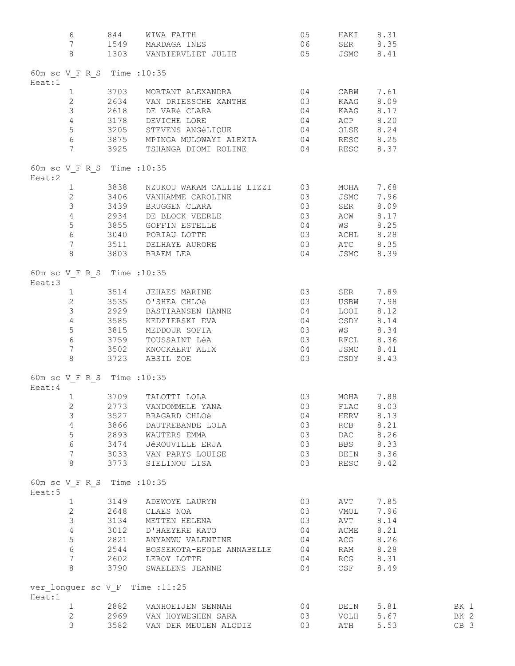| 6                               | 844 WIWAFAITH 05 HAKI 8.31<br>1549 MARDAGAINES 06 SER 8.35<br>1303 VANBIERVLIET-JULIE 05 JSMC 8.41                                                                                                                                                                                                                                                                                                                                                                |                |                                             |          |                 |
|---------------------------------|-------------------------------------------------------------------------------------------------------------------------------------------------------------------------------------------------------------------------------------------------------------------------------------------------------------------------------------------------------------------------------------------------------------------------------------------------------------------|----------------|---------------------------------------------|----------|-----------------|
| 7                               |                                                                                                                                                                                                                                                                                                                                                                                                                                                                   |                |                                             |          |                 |
| 8                               |                                                                                                                                                                                                                                                                                                                                                                                                                                                                   |                |                                             |          |                 |
|                                 |                                                                                                                                                                                                                                                                                                                                                                                                                                                                   |                |                                             |          |                 |
|                                 |                                                                                                                                                                                                                                                                                                                                                                                                                                                                   |                |                                             |          |                 |
| 60m sc V F R S Time : 10:35     |                                                                                                                                                                                                                                                                                                                                                                                                                                                                   |                |                                             |          |                 |
| Heat:1                          |                                                                                                                                                                                                                                                                                                                                                                                                                                                                   |                |                                             |          |                 |
|                                 |                                                                                                                                                                                                                                                                                                                                                                                                                                                                   |                |                                             |          |                 |
|                                 |                                                                                                                                                                                                                                                                                                                                                                                                                                                                   |                |                                             |          |                 |
|                                 |                                                                                                                                                                                                                                                                                                                                                                                                                                                                   |                |                                             |          |                 |
|                                 |                                                                                                                                                                                                                                                                                                                                                                                                                                                                   |                |                                             |          |                 |
|                                 |                                                                                                                                                                                                                                                                                                                                                                                                                                                                   |                |                                             |          |                 |
|                                 |                                                                                                                                                                                                                                                                                                                                                                                                                                                                   |                |                                             |          |                 |
|                                 |                                                                                                                                                                                                                                                                                                                                                                                                                                                                   |                |                                             |          |                 |
|                                 | 3703 MORTANT ALEXANDRA 04 CABW 7.61<br>2634 VAN DRIESSCHE XANTHE 03 KAAG 8.09<br>3618 DE VARé CLARA 04 KAAG 8.17<br>43178 DEVICHE LORE 04 ACP 8.20<br>3205 STEVENS ANGéLIQUE 04 OLSE 8.24<br>43875 MPINGA MULOWAYI ALEXIA 04 RESC 8.25<br>                                                                                                                                                                                                                        |                |                                             |          |                 |
|                                 |                                                                                                                                                                                                                                                                                                                                                                                                                                                                   |                |                                             |          |                 |
| 60m sc V_F R_S Time :10:35      |                                                                                                                                                                                                                                                                                                                                                                                                                                                                   |                |                                             |          |                 |
|                                 |                                                                                                                                                                                                                                                                                                                                                                                                                                                                   |                |                                             |          |                 |
| Heat:2                          |                                                                                                                                                                                                                                                                                                                                                                                                                                                                   |                |                                             |          |                 |
|                                 |                                                                                                                                                                                                                                                                                                                                                                                                                                                                   |                |                                             |          |                 |
|                                 |                                                                                                                                                                                                                                                                                                                                                                                                                                                                   |                |                                             |          |                 |
|                                 |                                                                                                                                                                                                                                                                                                                                                                                                                                                                   |                |                                             |          |                 |
|                                 |                                                                                                                                                                                                                                                                                                                                                                                                                                                                   |                |                                             |          |                 |
|                                 |                                                                                                                                                                                                                                                                                                                                                                                                                                                                   |                |                                             |          |                 |
|                                 |                                                                                                                                                                                                                                                                                                                                                                                                                                                                   |                |                                             |          |                 |
|                                 |                                                                                                                                                                                                                                                                                                                                                                                                                                                                   |                |                                             |          |                 |
|                                 |                                                                                                                                                                                                                                                                                                                                                                                                                                                                   |                |                                             |          |                 |
|                                 | $\begin{tabular}{lllllllllllllllllllll} \multicolumn{3}{c}{\textbf{3838}} & \multicolumn{3}{c}{\textbf{NZUKOU WAKAM CALLIE LIZZI}} & \multicolumn{3}{c}{\textbf{03}} & \multicolumn{3}{c}{\textbf{MOHA}} & \multicolumn{3}{c}{\textbf{7.68}} \\ \multicolumn{3}{c}{\textbf{2}} & \multicolumn{3}{c}{\textbf{3406}} & \multicolumn{3}{c}{\textbf{VANHAMME CAROLINE}} & \multicolumn{3}{c}{\textbf{03}} & \multicolumn{3}{c}{\textbf{JSMC}} & \multicolumn{3}{c}{\$ |                |                                             |          |                 |
|                                 |                                                                                                                                                                                                                                                                                                                                                                                                                                                                   |                |                                             |          |                 |
| 60m sc V F R S Time : 10:35     |                                                                                                                                                                                                                                                                                                                                                                                                                                                                   |                |                                             |          |                 |
| Heat:3                          |                                                                                                                                                                                                                                                                                                                                                                                                                                                                   |                |                                             |          |                 |
|                                 |                                                                                                                                                                                                                                                                                                                                                                                                                                                                   |                |                                             |          |                 |
|                                 |                                                                                                                                                                                                                                                                                                                                                                                                                                                                   |                |                                             |          |                 |
|                                 |                                                                                                                                                                                                                                                                                                                                                                                                                                                                   |                | 03 SER 7.89<br>03 USBW 7.98<br>04 LOOI 8.12 |          |                 |
|                                 |                                                                                                                                                                                                                                                                                                                                                                                                                                                                   |                |                                             |          |                 |
|                                 |                                                                                                                                                                                                                                                                                                                                                                                                                                                                   |                |                                             |          |                 |
|                                 |                                                                                                                                                                                                                                                                                                                                                                                                                                                                   |                |                                             |          |                 |
|                                 |                                                                                                                                                                                                                                                                                                                                                                                                                                                                   |                |                                             |          |                 |
|                                 |                                                                                                                                                                                                                                                                                                                                                                                                                                                                   |                |                                             |          |                 |
|                                 |                                                                                                                                                                                                                                                                                                                                                                                                                                                                   |                |                                             |          |                 |
|                                 | $\begin{tabular}{lllllllllllllllllll} 1&3514&\text{JEHAES MARKINE}&03&\text{SER}&7.89\\2&3535&\text{O'SHEA CHLO\'e}&03&\text{USBW}&7.98\\3&2929&\text{BASTIAANSEN HANNE}&04&\text{LOOT}&8.12\\4&3585&\text{KEDZIERSKI EVA}&04&\text{CSDY}&8.14\\5&3815&\text{MEDDOUR SOFIA}&03&\text{WS}&8.34\\6&3759&\text{TOUSSAINT L\'eA}&03&\text{RFCL}&8.36\\7&3502&\text{KNOCKA$                                                                                            |                |                                             |          |                 |
|                                 |                                                                                                                                                                                                                                                                                                                                                                                                                                                                   |                |                                             |          |                 |
| 60m sc V_F R_S Time :10:35      |                                                                                                                                                                                                                                                                                                                                                                                                                                                                   |                |                                             |          |                 |
| Heat:4                          |                                                                                                                                                                                                                                                                                                                                                                                                                                                                   |                |                                             |          |                 |
| $\mathbf{1}$                    | $\begin{matrix}\n 03 \\  03 \\  03\n \end{matrix}$ MOHA 7.88<br>3709 TALOTTI LOLA                                                                                                                                                                                                                                                                                                                                                                                 |                |                                             |          |                 |
|                                 |                                                                                                                                                                                                                                                                                                                                                                                                                                                                   |                |                                             |          |                 |
| $\mathbf{2}$                    | 2773 VANDOMMELE YANA 63 FLAC 8.03                                                                                                                                                                                                                                                                                                                                                                                                                                 |                |                                             |          |                 |
| 3                               | 3527 BRAGARD CHLOé                                                                                                                                                                                                                                                                                                                                                                                                                                                | 04             | HERV 8.13                                   |          |                 |
|                                 | 4 3866 DAUTREBANDE LOLA                                                                                                                                                                                                                                                                                                                                                                                                                                           | 03             | RCB 8.21                                    |          |                 |
|                                 | 5 2893 WAUTERS EMMA                                                                                                                                                                                                                                                                                                                                                                                                                                               | 03             | DAC 8.26                                    |          |                 |
| 6                               |                                                                                                                                                                                                                                                                                                                                                                                                                                                                   | 03             | BBS 8.33                                    |          |                 |
| 7                               | 3474 JéROUVILLE ERJA<br>3033 - VAN PARYS LOUISE<br>2002 - CITI IVOI IIO                                                                                                                                                                                                                                                                                                                                                                                           |                |                                             |          |                 |
| 8                               |                                                                                                                                                                                                                                                                                                                                                                                                                                                                   |                | 03 DEIN 8.36<br>03 RESC 8.42                |          |                 |
|                                 | 3773 SIELINOU LISA                                                                                                                                                                                                                                                                                                                                                                                                                                                |                |                                             |          |                 |
|                                 |                                                                                                                                                                                                                                                                                                                                                                                                                                                                   |                |                                             |          |                 |
| 60m sc V F R S Time : 10:35     |                                                                                                                                                                                                                                                                                                                                                                                                                                                                   |                |                                             |          |                 |
| Heat:5                          |                                                                                                                                                                                                                                                                                                                                                                                                                                                                   |                |                                             |          |                 |
|                                 | 1 3149 ADEWOYE LAURYN                                                                                                                                                                                                                                                                                                                                                                                                                                             | 03             | AVT 7.85                                    |          |                 |
|                                 | 2 2648 CLAES NOA                                                                                                                                                                                                                                                                                                                                                                                                                                                  | 03             | VMOL 7.96                                   |          |                 |
|                                 |                                                                                                                                                                                                                                                                                                                                                                                                                                                                   |                |                                             |          |                 |
|                                 | 3 3134 METTEN HELENA                                                                                                                                                                                                                                                                                                                                                                                                                                              | 03             | AVT 8.14                                    |          |                 |
|                                 | 4 3012 D'HAEYERE KATO 64<br>5 2821 ANYANWU VALENTINE 62544 BOSSEKOTA-EFOLE ANNABELLE 64<br>7 2602 LEROY LOTTE 64                                                                                                                                                                                                                                                                                                                                                  | 04             | ACME 8.21                                   |          |                 |
|                                 |                                                                                                                                                                                                                                                                                                                                                                                                                                                                   |                | ACG 8.26                                    |          |                 |
|                                 |                                                                                                                                                                                                                                                                                                                                                                                                                                                                   |                |                                             |          |                 |
|                                 |                                                                                                                                                                                                                                                                                                                                                                                                                                                                   | 04<br>04<br>04 | RAM 8.28<br>RCG 8.31                        |          |                 |
| 8                               | 3790 SWAELENS JEANNE                                                                                                                                                                                                                                                                                                                                                                                                                                              | 04             | CSF 8.49                                    |          |                 |
|                                 |                                                                                                                                                                                                                                                                                                                                                                                                                                                                   |                |                                             |          |                 |
|                                 |                                                                                                                                                                                                                                                                                                                                                                                                                                                                   |                |                                             |          |                 |
| ver longuer sc V F Time : 11:25 |                                                                                                                                                                                                                                                                                                                                                                                                                                                                   |                |                                             |          |                 |
| Heat:1                          |                                                                                                                                                                                                                                                                                                                                                                                                                                                                   |                |                                             |          |                 |
|                                 | 1 2882 VANHOEIJEN SENNAH 04 DEIN 5.81                                                                                                                                                                                                                                                                                                                                                                                                                             |                |                                             |          | <b>BK</b> 1     |
| $2^{\circ}$                     | 2969 VAN HOYWEGHEN SARA 63 VOLH 5.67                                                                                                                                                                                                                                                                                                                                                                                                                              |                |                                             |          | BK 2            |
| $\mathcal{S}$                   | 3582 VAN DER MEULEN ALODIE                                                                                                                                                                                                                                                                                                                                                                                                                                        | 03             |                                             | ATH 5.53 | CB <sub>3</sub> |
|                                 |                                                                                                                                                                                                                                                                                                                                                                                                                                                                   |                |                                             |          |                 |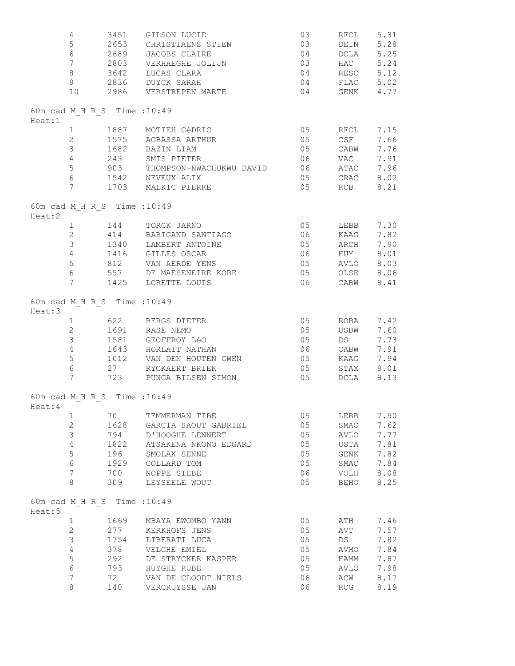|        | 4<br>5<br>6          | 3451<br>2653<br>2689         | GILSON LUCIE<br>CHRISTIAENS STIEN<br>JACOBS CLAIRE | 03<br>03<br>04 | RFCL<br>DEIN<br>DCLA | 5.31<br>5.28<br>5.25 |
|--------|----------------------|------------------------------|----------------------------------------------------|----------------|----------------------|----------------------|
|        | 7 <sup>7</sup>       |                              | 2803 VERHAEGHE JOLIJN                              | 03             | HAC 5.24             |                      |
|        | 8                    |                              | 3642 LUCAS CLARA                                   |                | 04 RESC 5.12         |                      |
|        | 9 <sup>°</sup>       |                              | 2836 DUYCK SARAH                                   | 04             | FLAC 5.02            |                      |
|        | 10                   |                              | 2986 VERSTREPEN MARTE                              | 04             | GENK 4.77            |                      |
| Heat:1 |                      | 60m cad M H R S Time : 10:49 |                                                    |                |                      |                      |
|        | $\mathbf{1}$         |                              | 1887 MOTIEH CéDRIC                                 | 05             | RFCL 7.15            |                      |
|        | $\overline{2}$       |                              | 1575 AGBASSA ARTHUR                                | 05             | CSE                  | 7.66                 |
|        | 3                    |                              | 1682 BAZIN LIAM                                    | 05             | CABW                 | 7.76                 |
|        | 4                    | 243                          | SMIS PIETER                                        | 06             | VAC                  | 7.91                 |
|        | 5<br>$6\overline{6}$ | 903                          | THOMPSON-NWACHUKWU DAVID                           | 06 06          | ATAC 7.96            |                      |
|        | $7\phantom{.0}$      |                              | 1542 NEVEUX ALIX<br>1703 MALKIC PIERRE             | 05<br>05       | CRAC<br>RCB          | 8.02<br>8.21         |
| Heat:2 |                      | 60m cad M H R S Time : 10:49 |                                                    |                |                      |                      |
|        | $\mathbf{1}$         |                              | 144 TORCK JARNO                                    | 05             | LEBB                 | 7.30                 |
|        | $\overline{2}$       |                              | 414 BARIGAND SANTIAGO                              | 06             | KAAG                 | 7.82                 |
|        | 3                    |                              | 1340 LAMBERT ANTOINE                               | 05             | ARCH                 | 7.90                 |
|        | $\overline{4}$       |                              | 1416 GILLES OSCAR                                  | 06             | HUY 8.01             |                      |
|        | 5                    |                              | 812 VAN AERDE YENS                                 | 05             | AVLO 8.03            |                      |
|        | $6\overline{6}$      | 557                          | DE MAESENEIRE KOBE                                 | 05             | OLSE                 | 8.06                 |
|        | 7                    |                              | 337 DE MAESENEIRE<br>1425 LORETTE LOUIS            | 06             | CABW                 | 8.41                 |
| Heat:3 |                      | 60m cad M H R S Time : 10:49 |                                                    |                |                      |                      |
|        | 1                    |                              | 622 BERGS DIETER                                   | 05             | ROBA                 | 7.42                 |
|        | $\mathbf{2}$         |                              | 1691 RASE NEMO                                     | 05             | USBW                 | 7.60                 |
|        | $\mathfrak{Z}$       |                              | 1581 GEOFFROY LéO                                  | 05             | DS                   | 7.73                 |
|        | $\overline{4}$       |                              | 1643 HORLAIT NATHAN                                | 06             | CABW                 | 7.91                 |
|        | 5                    | 1012                         | VAN DEN HOUTEN GWEN                                | 05             | KAAG                 | 7.94                 |
|        | $6\,$                | 27                           | RYCKAERT BRIEK                                     | 05             | STAX                 | 8.01                 |
|        | $7\phantom{.0}$      | 723                          | PUNGA BILSEN SIMON                                 | 05             | DCLA                 | 8.13                 |
| Heat:4 |                      | 60m cad M H R S Time : 10:49 |                                                    |                |                      |                      |
|        | $\mathbf{1}$         | 70                           | TEMMERMAN TIBE                                     | 05             | LEBB                 | 7.50                 |
|        | $\overline{2}$       | 1628                         | GARCIA SAOUT GABRIEL                               | 05             | SMAC                 | 7.62                 |
|        | 3                    | 794                          | D'HOOGHE LENNERT                                   | 05             | AVLO                 | 7.77                 |
|        | $\overline{4}$       | 1822                         | ATSAKENA NKONO EDGARD                              | 05             | USTA                 | 7.81                 |
|        | 5                    | 196                          | SMOLAK SENNE                                       | 05             | GENK                 | 7.82                 |
|        | 6                    | 1929                         | COLLARD TOM                                        | 05             | SMAC                 | 7.84                 |
|        | 7                    | 700                          | NOPPE SIEBE                                        | 06             | VOLH                 | 8.08                 |
|        | 8                    | 309                          | LEYSEELE WOUT                                      | 05             | BEHO                 | 8.25                 |
| Heat:5 |                      | 60m cad M H R S Time : 10:49 |                                                    |                |                      |                      |
|        | $\mathbf 1$          | 1669                         | MBAYA EWOMBO YANN                                  | 05             | ATH                  | 7.46                 |
|        | $\overline{2}$       | 277                          | KERKHOFS JENS                                      | 05             | AVT                  | 7.57                 |
|        | $\mathfrak{Z}$       | 1754                         | LIBERATI LUCA                                      | 05             | DS                   | 7.82                 |
|        | $\overline{4}$       | 378                          | VELGHE EMIEL                                       | 05             | AVMO                 | 7.84                 |
|        | 5                    | 292                          | DE STRYCKER KASPER                                 | 05             | HAMM                 | 7.87                 |
|        | 6                    | 793                          | HUYGHE RUBE                                        | 05             | AVLO                 | 7.98                 |
|        | 7<br>8               | 72                           | VAN DE CLOODT NIELS                                | 06<br>06       | ACW                  | 8.17                 |
|        |                      | 140                          | VERCRUYSSE JAN                                     |                | RCG                  | 8.19                 |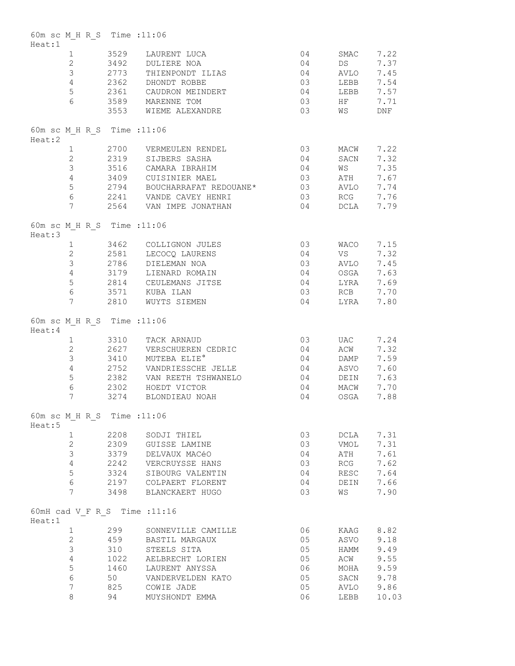| Heat:1  | 60m sc M H R S Time : 11:06 |      |                                                  |    |                 |       |
|---------|-----------------------------|------|--------------------------------------------------|----|-----------------|-------|
|         | 1                           | 3529 | LAURENT LUCA                                     | 04 | SMAC            | 7.22  |
|         | $2^{\circ}$                 |      | 3492 DULIERE NOA                                 | 04 | DS <sub>2</sub> | 7.37  |
|         | $\mathcal{S}$               |      | 2773 THIENPONDT ILIAS                            | 04 | AVLO            | 7.45  |
|         | $4 -$                       |      | 2362 DHONDT ROBBE                                | 03 | LEBB            | 7.54  |
|         | 5                           |      | 2361 CAUDRON MEINDERT                            | 04 | LEBB            | 7.57  |
|         | $6\overline{6}$             |      | 3589 MARENNE TOM                                 | 03 | HF              | 7.71  |
|         |                             |      | 3553 WIEME ALEXANDRE                             | 03 | WS              | DNF   |
| Heat:2  | 60m sc M H R S Time : 11:06 |      |                                                  |    |                 |       |
|         | 1                           |      | 2700 VERMEULEN RENDEL                            | 03 | MACW            | 7.22  |
|         | $2 \overline{2}$            |      | 2319 SIJBERS SASHA                               | 04 | SACN            | 7.32  |
|         | 3                           |      | 3516 CAMARA IBRAHIM                              | 04 | <b>WS</b>       | 7.35  |
|         | $4 -$                       |      | 3409 CUISINIER MAEL                              | 03 | ATH             | 7.67  |
|         | 5                           |      | 2794 BOUCHARRAFAT REDOUANE*                      | 03 | AVLO            | 7.74  |
|         | 6                           |      | 2241 VANDE CAVEY HENRI<br>2564 VAN IMPE JONATHAN | 03 | RCG             | 7.76  |
|         | 7                           |      |                                                  | 04 | DCLA            | 7.79  |
| Heat:3  | 60m sc M H R S Time : 11:06 |      |                                                  |    |                 |       |
|         | $1 \quad \blacksquare$      |      | 3462 COLLIGNON JULES                             | 03 | WACO            | 7.15  |
|         |                             |      | 2 2581 LECOCQ LAURENS                            | 04 | VS              | 7.32  |
|         | 3 <sup>7</sup>              |      | 2786 DIELEMAN NOA                                | 03 | AVLO            | 7.45  |
|         | $4 -$                       |      | 3179 LIENARD ROMAIN                              | 04 | OSGA            | 7.63  |
|         | 5                           |      |                                                  | 04 | LYRA            | 7.69  |
|         | 6                           |      | 2814 CEULEMANS JITSE<br>3571 KUBA ILAN           | 03 | RCB             | 7.70  |
|         | $7\phantom{.0}$             |      | 2810 WUYTS SIEMEN                                | 04 | LYRA            | 7.80  |
| Heat: 4 | 60m sc M H R S Time : 11:06 |      |                                                  |    |                 |       |
|         | $1 \quad \Box$              |      | 3310 TACK ARNAUD                                 | 03 | UAC             | 7.24  |
|         | $2^{\circ}$                 |      | 2627 VERSCHUEREN CEDRIC                          | 04 | ACW             | 7.32  |
|         | $\mathcal{S}$               |      | 3410 MUTEBA ELIE <sup>°</sup>                    | 04 | DAMP            | 7.59  |
|         | $\overline{4}$              | 2752 | VANDRIESSCHE JELLE                               | 04 | ASVO            | 7.60  |
|         | 5                           | 2382 | VAN REETH TSHWANELO                              | 04 | DEIN            | 7.63  |
|         | $6\,$                       |      | 2302 HOEDT VICTOR                                | 04 | MACW            | 7.70  |
|         | 7                           |      | 3274 BLONDIEAU NOAH                              | 04 | OSGA            | 7.88  |
| Heat:5  | 60m sc M H R S Time : 11:06 |      |                                                  |    |                 |       |
|         | $\mathbf{1}$                | 2208 | SODJI THIEL                                      | 03 | DCLA            | 7.31  |
|         | $\overline{2}$              | 2309 | GUISSE LAMINE                                    | 03 | VMOL            | 7.31  |
|         | 3                           | 3379 | DELVAUX MACéO                                    | 04 | ATH             | 7.61  |
|         | $\overline{4}$              | 2242 | VERCRUYSSE HANS                                  | 03 | RCG             | 7.62  |
|         | 5                           | 3324 | SIBOURG VALENTIN                                 | 04 | RESC            | 7.64  |
|         | 6                           |      | 2197 COLPAERT FLORENT                            | 04 | DEIN            | 7.66  |
|         | 7                           | 3498 | BLANCKAERT HUGO                                  | 03 | WS              | 7.90  |
| Heat:1  |                             |      | 60mH cad V F R S Time : 11:16                    |    |                 |       |
|         | $\mathbf 1$                 | 299  | SONNEVILLE CAMILLE                               | 06 | KAAG            | 8.82  |
|         | $\overline{2}$              | 459  | BASTIL MARGAUX                                   | 05 | ASVO            | 9.18  |
|         | 3                           | 310  | STEELS SITA                                      | 05 | HAMM            | 9.49  |
|         | $\overline{4}$              | 1022 | AELBRECHT LORIEN                                 | 05 | ACW             | 9.55  |
|         | 5                           | 1460 | LAURENT ANYSSA                                   | 06 | MOHA            | 9.59  |
|         | 6                           | 50   | VANDERVELDEN KATO                                | 05 | SACN            | 9.78  |
|         | 7                           | 825  | COWIE JADE                                       | 05 | AVLO            | 9.86  |
|         | $\,8\,$                     | 94   | MUYSHONDT EMMA                                   | 06 | LEBB            | 10.03 |
|         |                             |      |                                                  |    |                 |       |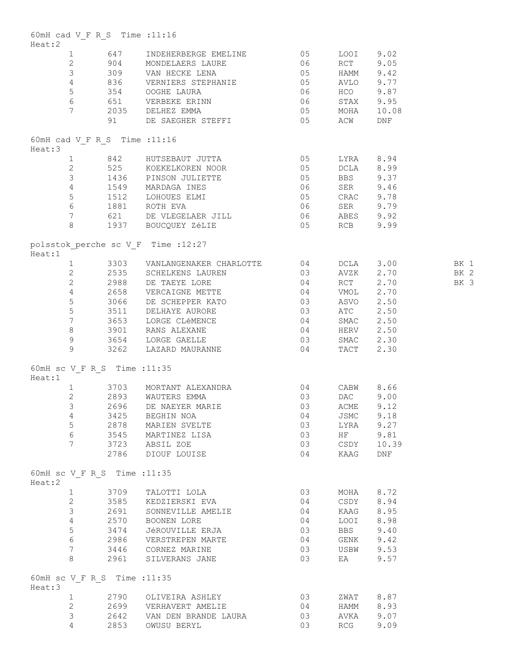| Heat:2 |                 | 60mH cad V F R S Time : 11:16 |                                                                                                                                                                                                                                                                                                                                                                                  |    |            |            |              |
|--------|-----------------|-------------------------------|----------------------------------------------------------------------------------------------------------------------------------------------------------------------------------------------------------------------------------------------------------------------------------------------------------------------------------------------------------------------------------|----|------------|------------|--------------|
|        |                 |                               | 1 647 INDEHERBERGE EMELINE 05                                                                                                                                                                                                                                                                                                                                                    |    | LOOI 9.02  |            |              |
|        |                 |                               | 2 904 MONDELAERS LAURE 600 06 RCT 9.05                                                                                                                                                                                                                                                                                                                                           |    |            |            |              |
|        |                 |                               |                                                                                                                                                                                                                                                                                                                                                                                  |    |            |            |              |
|        |                 |                               |                                                                                                                                                                                                                                                                                                                                                                                  |    |            |            |              |
|        |                 |                               |                                                                                                                                                                                                                                                                                                                                                                                  |    |            |            |              |
|        |                 |                               |                                                                                                                                                                                                                                                                                                                                                                                  |    |            |            |              |
|        |                 |                               |                                                                                                                                                                                                                                                                                                                                                                                  |    |            |            |              |
|        |                 |                               | 3 309 VAN HECKE LENA 05 HAMM 9.42<br>4 836 VERNIERS STEPHANIE 05 AVLO 9.77<br>5 354 OOGHE LAURA 06 HCO 9.87<br>6 651 VERBEKE ERINN 06 STAX 9.95<br>7 2035 DELHEZ EMMA 05 MOHA 10.08<br>91 DE SAEGHER STEFFI 05 ACW DNF                                                                                                                                                           |    |            |            |              |
| Heat:3 |                 | 60mH cad V F R S Time : 11:16 |                                                                                                                                                                                                                                                                                                                                                                                  |    |            |            |              |
|        |                 |                               | 1 842 HUTSEBAUT JUTTA 05 LYRA 8.94<br>2 525 KOEKELKOREN NOOR 05 DCLA 8.99<br>3 1436 PINSON JULIETTE 05 BBS 9.37<br>4 1549 MARDAGAINES 06 SER 9.46<br>5 1512 LOHOUES ELMI 05 CRAC 9.78<br>6 1881 ROTH EVA PINTONIALES 06 SER 9.79                                                                                                                                                 |    |            |            |              |
|        |                 |                               |                                                                                                                                                                                                                                                                                                                                                                                  |    |            |            |              |
|        |                 |                               |                                                                                                                                                                                                                                                                                                                                                                                  |    |            |            |              |
|        |                 |                               |                                                                                                                                                                                                                                                                                                                                                                                  |    |            |            |              |
|        |                 |                               |                                                                                                                                                                                                                                                                                                                                                                                  |    |            |            |              |
|        |                 |                               |                                                                                                                                                                                                                                                                                                                                                                                  |    |            |            |              |
|        |                 |                               | 7 621 DE VLEGELAER JILL 621 06 ABES 9.92                                                                                                                                                                                                                                                                                                                                         |    |            |            |              |
|        |                 |                               | 8 1937 BOUCQUEY ZÉLIE 6 195 RCB 9.99                                                                                                                                                                                                                                                                                                                                             |    |            |            |              |
| Heat:1 |                 |                               | polsstok perche sc V F Time : 12:27                                                                                                                                                                                                                                                                                                                                              |    |            |            |              |
|        |                 |                               |                                                                                                                                                                                                                                                                                                                                                                                  |    |            |            |              |
|        |                 |                               |                                                                                                                                                                                                                                                                                                                                                                                  |    |            |            |              |
|        |                 |                               |                                                                                                                                                                                                                                                                                                                                                                                  |    |            |            | BK 2<br>BK 3 |
|        |                 |                               |                                                                                                                                                                                                                                                                                                                                                                                  |    |            |            |              |
|        |                 |                               |                                                                                                                                                                                                                                                                                                                                                                                  |    |            |            |              |
|        |                 |                               |                                                                                                                                                                                                                                                                                                                                                                                  |    |            |            |              |
|        |                 |                               |                                                                                                                                                                                                                                                                                                                                                                                  |    |            |            |              |
|        |                 |                               |                                                                                                                                                                                                                                                                                                                                                                                  |    |            |            |              |
|        |                 |                               |                                                                                                                                                                                                                                                                                                                                                                                  |    |            |            |              |
|        |                 |                               | $\begin{tabular}{lllllllllllllllllllll} 1& 3303 & VANLANDGENAKER CHARLOTTE & 04 & DCLA & 3.00 & BK 1 \\ 2& 2535 & SCHELKENSE LAUREN & 03 & AVZK & 2.70 & BK 2 \\ 2& 2988 & DE TAEYE LORE & 04 & RCT & 2.70 & BK 3 \\ 4& 2658 & VERCATGNE METTE & 04 & VMOL & 2.70 & BK 3 \\ 3066 & DE SCHEEPPER KATO & 03 & ASVO & 2.50 & \\ 5& 3511 & DELHAYE AURORE & 03 & ATC & 2.50 & \\ 7&$ |    |            |            |              |
|        |                 | 60mH sc V F R S Time : 11:35  |                                                                                                                                                                                                                                                                                                                                                                                  |    |            |            |              |
| Heat:1 |                 |                               |                                                                                                                                                                                                                                                                                                                                                                                  |    |            |            |              |
|        |                 |                               |                                                                                                                                                                                                                                                                                                                                                                                  |    |            |            |              |
|        |                 |                               | 1 3703 MORTANT ALEXANDRA $2$ 2893 WAUTERS EMMA 03 DAC 9.00<br>3 2696 DE NAEYER MARIE 03 ACME 9.12                                                                                                                                                                                                                                                                                |    |            |            |              |
|        |                 |                               |                                                                                                                                                                                                                                                                                                                                                                                  |    |            |            |              |
|        | 4               |                               | 3425 BEGHIN NOA                                                                                                                                                                                                                                                                                                                                                                  | 04 | JSMC 9.18  |            |              |
|        | 5               |                               | 2878 MARIEN SVELTE                                                                                                                                                                                                                                                                                                                                                               | 03 | LYRA 9.27  |            |              |
|        | $6\degree$      |                               | 3545 MARTINEZ LISA                                                                                                                                                                                                                                                                                                                                                               | 03 | HF 9.81    |            |              |
|        | $7\overline{ }$ |                               | 3723     ABSIL ZOE<br>2786     DIOUF LOUISE                                                                                                                                                                                                                                                                                                                                      | 03 |            | CSDY 10.39 |              |
|        |                 |                               |                                                                                                                                                                                                                                                                                                                                                                                  | 04 | KAAG DNF   |            |              |
| Heat:2 |                 | 60mH sc V F R S Time : 11:35  |                                                                                                                                                                                                                                                                                                                                                                                  |    |            |            |              |
|        |                 |                               | 1 3709 TALOTTI LOLA                                                                                                                                                                                                                                                                                                                                                              | 03 | MOHA 8.72  |            |              |
|        | $\overline{2}$  |                               | 3585 KEDZIERSKI EVA                                                                                                                                                                                                                                                                                                                                                              | 04 | CSDY 8.94  |            |              |
|        | $\mathcal{S}$   |                               | 2691 SONNEVILLE AMELIE                                                                                                                                                                                                                                                                                                                                                           | 04 | KAAG 8.95  |            |              |
|        | $4\overline{ }$ |                               | 2570 BOONEN LORE                                                                                                                                                                                                                                                                                                                                                                 | 04 | LOOI 8.98  |            |              |
|        | 5 <sup>5</sup>  |                               |                                                                                                                                                                                                                                                                                                                                                                                  | 03 | <b>BBS</b> | 9.40       |              |
|        | 6               |                               | 3474 – JéROUVILLE ERJA<br>2986 – VERSTREPEN MARTE                                                                                                                                                                                                                                                                                                                                | 04 | GENK       | 9.42       |              |
|        | $7\phantom{.0}$ |                               | 3446 CORNEZ MARINE                                                                                                                                                                                                                                                                                                                                                               | 03 | USBW 9.53  |            |              |
|        | 8               |                               | 2961 SILVERANS JANE                                                                                                                                                                                                                                                                                                                                                              | 03 | EA         | 9.57       |              |
| Heat:3 |                 | 60mH sc V F R S Time : 11:35  |                                                                                                                                                                                                                                                                                                                                                                                  |    |            |            |              |
|        | $1 \quad$       |                               | 2790 OLIVEIRA ASHLEY                                                                                                                                                                                                                                                                                                                                                             | 03 | ZWAT 8.87  |            |              |
|        | $\mathbf{2}$    |                               |                                                                                                                                                                                                                                                                                                                                                                                  | 04 | HAMM 8.93  |            |              |
|        | 3               |                               |                                                                                                                                                                                                                                                                                                                                                                                  | 03 | AVKA       | 9.07       |              |
|        | 4               |                               | 2699 VERHAVERT AMELIE<br>2642 VAN DEN BRANDE LAURA<br>2853 OWUSU BERYL                                                                                                                                                                                                                                                                                                           | 03 | RCG        | 9.09       |              |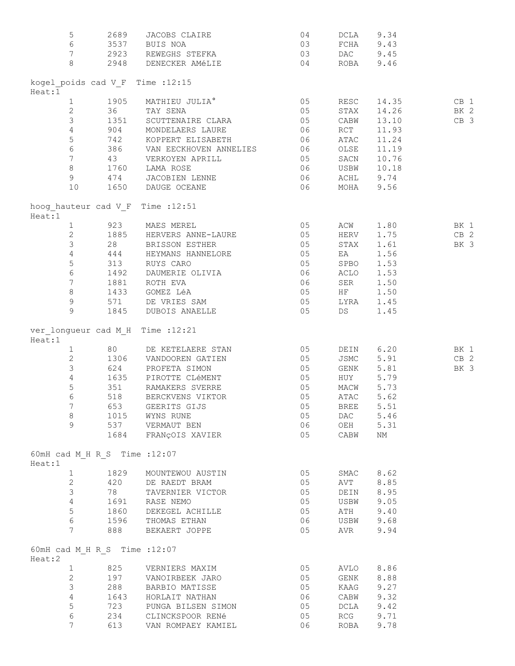| 5               | 2689                          | JACOBS CLAIRE                                                                  | 04                                        |           | DCLA 9.34              |             |
|-----------------|-------------------------------|--------------------------------------------------------------------------------|-------------------------------------------|-----------|------------------------|-------------|
| 6               |                               | 3537 BUIS NOA                                                                  | 03                                        |           | FCHA 9.43              |             |
|                 |                               | 7 2923 REWEGHS STEFKA 03                                                       |                                           |           | DAC 9.45               |             |
| 8               |                               | 2948 DENECKER AMÉLIE 64                                                        |                                           |           | ROBA 9.46              |             |
|                 |                               |                                                                                |                                           |           |                        |             |
|                 |                               | kogel poids cad V F Time : 12:15                                               |                                           |           |                        |             |
| Heat:1          |                               |                                                                                |                                           |           |                        |             |
|                 |                               | 1 1905 MATHIEU JULIA°<br>2 36 TAY SENA                                         | $\begin{array}{c} 0.5 \\ 0.5 \end{array}$ | RESC      | 14.35                  | CB 1        |
|                 |                               |                                                                                |                                           | STAX      | 14.26                  | BK 2        |
| $\mathcal{S}$   |                               | 1351 SCUTTENAIRE CLARA                                                         | 05                                        | CABW      | 13.10                  | CB 3        |
| $\overline{4}$  |                               | 904 MONDELAERS LAURE                                                           | 06                                        | RCT       | 11.93                  |             |
| $\mathsf S$     |                               | 742 KOPPERT ELISABETH 06                                                       |                                           | ATAC      | 11.24                  |             |
|                 |                               | 6 386 VAN EECKHOVEN ANNELIES 06                                                |                                           | OLSE      | 11.19                  |             |
|                 |                               | 7 43 VERKOYEN APRILL                                                           | $\sim$ 05                                 | SACN      | 10.76                  |             |
| 8               |                               | 1760 LAMA ROSE                                                                 | 06                                        | USBW      | 10.18                  |             |
| 9 <sup>1</sup>  |                               |                                                                                |                                           |           | ACHL 9.74              |             |
| 10              |                               | 474       JACOBIEN LENNE<br>1650     DAUGE OCEANE                              | 06<br>06                                  |           | MOHA 9.56              |             |
|                 |                               |                                                                                |                                           |           |                        |             |
| Heat:1          |                               | hoog hauteur cad V F Time : 12:51                                              |                                           |           |                        |             |
|                 |                               | 1 923 MAES MEREL                                                               | 05                                        | ACW       | 1.80                   | BK 1        |
|                 |                               | 2 1885 HERVERS ANNE-LAURE 65 HERV                                              |                                           |           | 1.75 CB 2              |             |
| $\mathcal{S}$   |                               | 28 BRISSON ESTHER                                                              | 05                                        | STAX      | 1.61                   | BK 3        |
| $\overline{4}$  |                               | 444 HEYMANS HANNELORE 05                                                       |                                           | EA        | 1.56                   |             |
| 5 <sub>5</sub>  |                               | 313 RUYS CARO                                                                  |                                           |           | 1.53                   |             |
| $6\overline{6}$ |                               |                                                                                | 05 SPBO<br>06 ACLO<br>06 SER<br>05 HF     |           | 1.53                   |             |
| 7 <sup>7</sup>  |                               | 1492 DAUMERIE OLIVIA<br>1881 – ROTH EVA                                        |                                           |           | 1.50                   |             |
| 8               |                               | 1433 GOMEZ LéA                                                                 |                                           |           | 1.50                   |             |
| $\overline{9}$  |                               | 571 DE VRIES SAM                                                               | 05 LYRA                                   |           |                        |             |
| 9               |                               | 1845 DUBOIS ANAELLE 65                                                         |                                           | <b>DS</b> | 1.45<br>1.45           |             |
|                 |                               |                                                                                |                                           |           |                        |             |
| Heat:1          |                               | ver longueur cad M H Time : 12:21                                              |                                           |           |                        |             |
| $1 \quad$       |                               | 80 DE KETELAERE STAN                                                           | $05$<br>$05$                              |           | DEIN 6.20              | <b>BK</b> 1 |
| $2^{\circ}$     |                               |                                                                                |                                           |           |                        | $CB$ 2      |
| $\mathcal{S}$   |                               | 1306     VANDOOREN  GATIEN<br>624        PROFETA  SIMON                        | 05                                        |           | JSMC 5.91<br>GENK 5.81 | BK 3        |
| $\overline{4}$  |                               | 1635 PIROTTE CLÉMENT                                                           | 05                                        | HUY       | 5.79                   |             |
|                 |                               | 351 RAMAKERS SVERRE                                                            | 05                                        |           | MACW 5.73              |             |
| 5               |                               |                                                                                |                                           |           |                        |             |
| 6               |                               | 518 BERCKVENS VIKTOR                                                           | 05                                        |           | ATAC 5.62              |             |
| 7 <sup>7</sup>  |                               | 653 GEERITS GIJS                                                               | 05                                        | BREE 5.51 |                        |             |
| 8               |                               | 1015 WYNS RUNE                                                                 | 05                                        | DAC       | 5.46                   |             |
| 9               |                               | 537 VERMAUT BEN                                                                | 06                                        | OEH       | 5.31                   |             |
|                 |                               | 1684 FRANÇOIS XAVIER                                                           | 05                                        | CABW      | ΝM                     |             |
| Heat:1          | 60mH cad M H R S Time : 12:07 |                                                                                |                                           |           |                        |             |
|                 | 1 1829                        | MOUNTEWOU AUSTIN                                                               | 05                                        |           | SMAC 8.62              |             |
| $\overline{2}$  |                               | 420 DE RAEDT BRAM                                                              | 05                                        | AVT       | 8.85                   |             |
| $\mathcal{S}$   |                               | 78 TAVERNIER VICTOR                                                            | 05                                        | DEIN      | 8.95                   |             |
|                 | $4\overline{ }$               | 1691 RASE NEMO                                                                 | 05                                        |           | USBW 9.05              |             |
| 5               |                               |                                                                                | 05                                        |           | 9.40                   |             |
| $6\overline{6}$ |                               | 1860 DEKEGEL ACHILLE                                                           |                                           | ATH       |                        |             |
| $7\phantom{.}$  |                               | 1596 THOMAS ETHAN                                                              | 06                                        | USBW      | 9.68                   |             |
|                 | 888                           | BEKAERT JOPPE                                                                  | 05                                        | AVR       | 9.94                   |             |
| Heat:2          | 60mH cad M H R S Time : 12:07 |                                                                                |                                           |           |                        |             |
| $\mathbf{1}$    |                               | 825 VERNIERS MAXIM                                                             | 05                                        |           | AVLO 8.86              |             |
| $\mathbf{2}$    |                               | 197 VANOIRBEEK JARO                                                            | 05                                        |           | GENK 8.88              |             |
| 3               |                               | 288 BARBIO MATISSE                                                             | 05                                        |           | KAAG 9.27              |             |
| $\overline{4}$  |                               | 1643 HORLAIT NATHAN                                                            | 06                                        |           | CABW 9.32              |             |
| 5               |                               |                                                                                | 05                                        | DCLA      | 9.42                   |             |
| $\epsilon$      |                               |                                                                                | 05                                        | RCG       | 9.71                   |             |
| 7               |                               | 723 – PUNGA BILSEN SIMON<br>234 – CLINCKSPOOR RENÉ<br>613 – VAN ROMPAEY KAMIEL | 06                                        | ROBA      | 9.78                   |             |
|                 |                               |                                                                                |                                           |           |                        |             |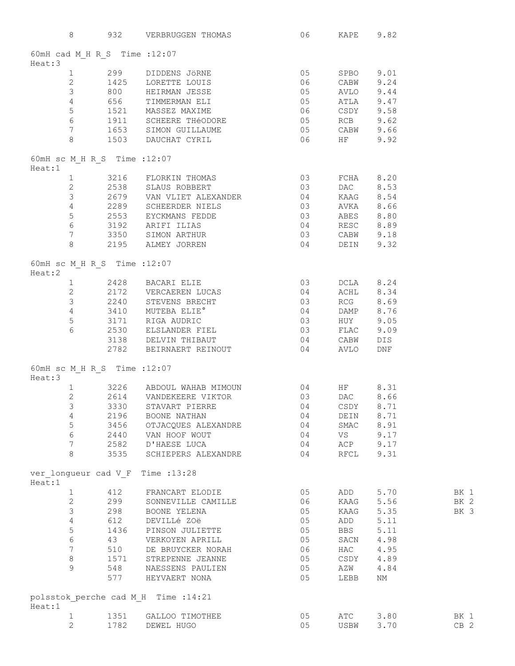|        | 8                            |      | 932 VERBRUGGEN THOMAS 06 KAPE 9.82                                                                                                                                                                                                                                                                                          |    |             |           |                 |
|--------|------------------------------|------|-----------------------------------------------------------------------------------------------------------------------------------------------------------------------------------------------------------------------------------------------------------------------------------------------------------------------------|----|-------------|-----------|-----------------|
|        |                              |      | 60mH cad M H R S Time : 12:07                                                                                                                                                                                                                                                                                               |    |             |           |                 |
| Heat:3 |                              |      |                                                                                                                                                                                                                                                                                                                             |    |             |           |                 |
|        |                              |      |                                                                                                                                                                                                                                                                                                                             |    |             |           |                 |
|        |                              |      |                                                                                                                                                                                                                                                                                                                             |    |             |           |                 |
|        |                              |      |                                                                                                                                                                                                                                                                                                                             |    |             |           |                 |
|        |                              |      |                                                                                                                                                                                                                                                                                                                             |    |             |           |                 |
|        |                              |      |                                                                                                                                                                                                                                                                                                                             |    |             |           |                 |
|        |                              |      |                                                                                                                                                                                                                                                                                                                             |    |             |           |                 |
|        |                              |      |                                                                                                                                                                                                                                                                                                                             |    |             |           |                 |
|        |                              |      |                                                                                                                                                                                                                                                                                                                             |    |             |           |                 |
|        |                              |      | 1 299 DIDDENS JÖRNE 05 SPBO 9.01<br>2 1425 LORETTE LOUIS 06 CABW 9.24<br>3 800 HEIRMAN JESSE 05 AVLO 9.44<br>4 656 TIMMERMAN ELI 05 ATLA 9.47<br>1521 MASSEZ MAXIME 06 CSDY 9.58<br>6 1911 SCHEERE THÉODORE 05 RCB 9.62<br>7 1653 SIMON GU                                                                                  |    |             |           |                 |
|        | 60mH sc M H R S Time : 12:07 |      |                                                                                                                                                                                                                                                                                                                             |    |             |           |                 |
| Heat:1 |                              |      |                                                                                                                                                                                                                                                                                                                             |    |             |           |                 |
|        |                              |      |                                                                                                                                                                                                                                                                                                                             |    |             |           |                 |
|        |                              |      |                                                                                                                                                                                                                                                                                                                             |    |             |           |                 |
|        |                              |      |                                                                                                                                                                                                                                                                                                                             |    |             |           |                 |
|        |                              |      |                                                                                                                                                                                                                                                                                                                             |    |             |           |                 |
|        |                              |      |                                                                                                                                                                                                                                                                                                                             |    |             |           |                 |
|        |                              |      |                                                                                                                                                                                                                                                                                                                             |    |             |           |                 |
|        |                              |      |                                                                                                                                                                                                                                                                                                                             |    |             |           |                 |
|        |                              |      | $\begin{tabular}{lllllllllllllllll} 1&3216&FLORKIN THOMAS&03&FCHA&8.20\\ 2&2538&SLAUS ROBBERT&03&DAC&8.53\\ 3&2679&VAN VLIET ALEXANDER&04&KAAG&8.54\\ 4&2289&SCHEERDER NIELS&03&AVKA&8.66\\ 5&2553&EYCKMANS FEDDE&03&ABES&8.80\\ 6&3192&ARIFT I LIAS&04&RESC&8.89\\ 7&3350&SIMON ARTHUR&03&CABW&9.18\\ 8&2195&ALMEY JORREN$ |    |             |           |                 |
|        | 60mH sc M H R S Time : 12:07 |      |                                                                                                                                                                                                                                                                                                                             |    |             |           |                 |
| Heat:2 |                              |      | 1 2428 BACARI ELIE 03 DCLA 8.24<br>2 2172 VERCAEREN LUCAS 04 ACHL 8.34<br>3 2240 STEVENS BRECHT 03 RCG 8.69<br>3 3110 MUTEBA ELIE® 04 DAMP 8.76<br>5 3171 RIGA AUDRIC 03 HUY 9.05<br>6 2530 ELSLANDER FIEL 03 FLAC 9.09                                                                                                     |    |             |           |                 |
|        |                              |      |                                                                                                                                                                                                                                                                                                                             |    |             |           |                 |
|        |                              |      |                                                                                                                                                                                                                                                                                                                             |    |             |           |                 |
|        |                              |      |                                                                                                                                                                                                                                                                                                                             |    |             |           |                 |
|        |                              |      |                                                                                                                                                                                                                                                                                                                             |    |             |           |                 |
|        |                              |      |                                                                                                                                                                                                                                                                                                                             |    |             |           |                 |
|        |                              |      |                                                                                                                                                                                                                                                                                                                             |    |             |           |                 |
|        |                              |      |                                                                                                                                                                                                                                                                                                                             |    |             |           |                 |
|        |                              |      |                                                                                                                                                                                                                                                                                                                             |    |             |           |                 |
|        | 60mH sc M H R S Time : 12:07 |      |                                                                                                                                                                                                                                                                                                                             |    |             |           |                 |
| Heat:3 |                              |      |                                                                                                                                                                                                                                                                                                                             |    |             |           |                 |
|        |                              |      | $\begin{tabular}{lllllllllll} 1 & 3226 & ABDOUT WAHAB MIMOUN & 04 & HF & 8.31 \\ 2 & 2614 & VANDEKEERE VIKTOR & 03 & DAC & 8.66 \\ 3 & 3330 & STAVART PIERRE & 04 & CSDY & 8.71 \\ \end{tabular}$                                                                                                                           |    |             |           |                 |
|        |                              |      |                                                                                                                                                                                                                                                                                                                             |    |             |           |                 |
|        |                              |      |                                                                                                                                                                                                                                                                                                                             |    |             |           |                 |
|        | 4                            | 2196 | BOONE NATHAN                                                                                                                                                                                                                                                                                                                | 04 | DEIN 8.71   |           |                 |
|        | 5                            |      | 3456 OTJACQUES ALEXANDRE                                                                                                                                                                                                                                                                                                    | 04 |             | SMAC 8.91 |                 |
|        | $\epsilon$                   |      | 2440 VAN HOOF WOUT                                                                                                                                                                                                                                                                                                          | 04 | VS <b>V</b> | 9.17      |                 |
|        | 7                            | 2582 | D'HAESE LUCA                                                                                                                                                                                                                                                                                                                | 04 | ACP 9.17    |           |                 |
|        | 8                            | 3535 | SCHIEPERS ALEXANDRE                                                                                                                                                                                                                                                                                                         | 04 | RFCL        | 9.31      |                 |
|        |                              |      | ver longueur cad V F Time : 13:28                                                                                                                                                                                                                                                                                           |    |             |           |                 |
| Heat:1 |                              |      |                                                                                                                                                                                                                                                                                                                             |    |             |           |                 |
|        | $\mathbf{1}$                 | 412  | FRANCART ELODIE                                                                                                                                                                                                                                                                                                             | 05 | ADD         | 5.70      | BK 1            |
|        | 2                            | 299  | SONNEVILLE CAMILLE                                                                                                                                                                                                                                                                                                          | 06 | KAAG        | 5.56      | BK 2            |
|        | 3                            | 298  | BOONE YELENA                                                                                                                                                                                                                                                                                                                | 05 | KAAG        | 5.35      | BK 3            |
|        | 4                            | 612  | DEVILLé ZOë                                                                                                                                                                                                                                                                                                                 | 05 | ADD         | 5.11      |                 |
|        | 5                            | 1436 | PINSON JULIETTE                                                                                                                                                                                                                                                                                                             | 05 | <b>BBS</b>  | 5.11      |                 |
|        | $\epsilon$                   | 43   | VERKOYEN APRILL                                                                                                                                                                                                                                                                                                             | 05 | SACN        | 4.98      |                 |
|        | $7\phantom{.}$               | 510  | DE BRUYCKER NORAH                                                                                                                                                                                                                                                                                                           | 06 | HAC         | 4.95      |                 |
|        | 8                            | 1571 | STREPENNE JEANNE                                                                                                                                                                                                                                                                                                            | 05 | CSDY        | 4.89      |                 |
|        | 9                            | 548  | NAESSENS PAULIEN                                                                                                                                                                                                                                                                                                            | 05 | AZW         | 4.84      |                 |
|        |                              | 577  | HEYVAERT NONA                                                                                                                                                                                                                                                                                                               | 05 | LEBB        | NΜ        |                 |
|        |                              |      | polsstok perche cad M H Time : 14:21                                                                                                                                                                                                                                                                                        |    |             |           |                 |
| Heat:1 |                              |      |                                                                                                                                                                                                                                                                                                                             |    |             |           |                 |
|        | 1                            |      | 1351 GALLOO TIMOTHEE                                                                                                                                                                                                                                                                                                        | 05 | ATC         | 3.80      | BK 1            |
|        | 2                            | 1782 | DEWEL HUGO                                                                                                                                                                                                                                                                                                                  | 05 | USBW        | 3.70      | CB <sub>2</sub> |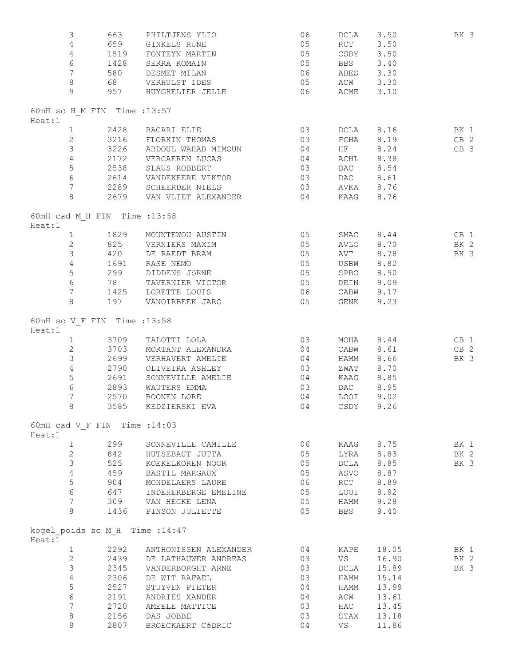| 3                                         | 663  | PHILTJENS YLIO                                           | 06             | DCLA       | 3.50                   | BK 3            |
|-------------------------------------------|------|----------------------------------------------------------|----------------|------------|------------------------|-----------------|
| $\overline{4}$                            | 659  | GINKELS RUNE                                             | 05             | RCT        | 3.50                   |                 |
| $\overline{4}$                            | 1519 | FONTEYN MARTIN                                           | 05             |            | CSDY 3.50              |                 |
| $6\,$                                     |      | 1428 SERRA ROMAIN                                        | 05             | <b>BBS</b> | 3.40                   |                 |
| $7\phantom{.0}$                           |      | 580 DESMET MILAN                                         | 06 06          |            | ABES 3.30              |                 |
| $8\,$                                     |      | 68 VERHULST IDES                                         | 05             |            | ACW 3.30               |                 |
| 9                                         | 957  | HUYGHELIER JELLE                                         | 06 06          | ACME       | 3.10                   |                 |
| 60mH sc H M FIN Time : 13:57              |      |                                                          |                |            |                        |                 |
| Heat:1                                    |      | 2428 BACARI ELIE                                         | 03             |            |                        |                 |
| $\mathbf{1}$<br>$\mathbf{2}$              |      | 3216 FLORKIN THOMAS                                      | 03             |            | DCLA 8.16<br>FCHA 8.19 | BK 1            |
| $\mathfrak{Z}$                            |      |                                                          |                |            |                        | CB <sub>2</sub> |
| $\overline{4}$                            |      | 3226 ABDOUL WAHAB MIMOUN 04                              |                |            | HF 8.24                | CB <sub>3</sub> |
| 5                                         |      | 2172 VERCAEREN LUCAS                                     | 04             |            | ACHL 8.38              |                 |
| $6\phantom{.}6$                           |      | 2538 SLAUS ROBBERT                                       | 03             | DAC        | 8.54                   |                 |
| $7\overline{ }$                           |      | 2614 VANDEKEERE VIKTOR                                   | 03             | <b>DAC</b> | 8.61                   |                 |
| 8                                         |      | 2289     SCHEERDER NIELS<br>2679     VAN VLIET ALEXANDER | 03<br>04       |            | AVKA 8.76<br>KAAG 8.76 |                 |
| 60mH cad M H FIN Time : 13:58             |      |                                                          |                |            |                        |                 |
| Heat:1                                    |      |                                                          |                |            |                        |                 |
| $\mathbf{1}$                              |      | 1829 MOUNTEWOU AUSTIN                                    | 05             |            | $SMAC$ 8.44            | CB 1            |
| $\mathbf{2}$                              |      | 825 VERNIERS MAXIM                                       | 0 <sub>5</sub> |            | AVLO 8.70              | BK 2            |
| $\mathcal{S}$                             |      | 420 DE RAEDT BRAM                                        | 05             | AVT        | 8.78                   | BK 3            |
| $\overline{4}$                            | 1691 | RASE NEMO                                                | 05             | USBW       | 8.82                   |                 |
| 5                                         | 299  | DIDDENS JÖRNE                                            | 05             | SPBO       | 8.90                   |                 |
| $6\,$                                     | 78   | TAVERNIER VICTOR                                         | 05             |            | DEIN 9.09              |                 |
| $7\overline{ }$                           |      | 1425 LORETTE LOUIS                                       | 06             |            | CABW 9.17              |                 |
| 8                                         |      | 197 VANOIRBEEK JARO                                      | 05             | GENK       | 9.23                   |                 |
| 60mH sc V F FIN Time : 13:58<br>Heat:1    |      |                                                          |                |            |                        |                 |
| $\mathbf{1}$                              |      | 3709 TALOTTI LOLA                                        | 03             |            | $MOHA$ 8.44            | CB 1            |
| $\mathbf{2}$                              |      | 3703 MORTANT ALEXANDRA                                   | 04             |            | CABW 8.61              | CB <sub>2</sub> |
| 3                                         |      |                                                          | 04             | HAMM       | 8.66                   | BK 3            |
| $\overline{4}$                            |      | 2699     VERHAVERT AMELIE<br>2790     OLIVEIRA ASHLEY    | 03             | ZWAT       | 8.70                   |                 |
| 5                                         |      | 2691 SONNEVILLE AMELIE                                   | 04             | KAAG       | 8.85                   |                 |
| $\sqrt{6}$                                | 2893 | WAUTERS EMMA                                             | 03             | <b>DAC</b> | 8.95                   |                 |
| $\overline{7}$                            | 2570 | BOONEN LORE                                              | 04             |            | LOOI 9.02              |                 |
| 8                                         | 3585 | KEDZIERSKI EVA                                           | 04             | CSDY       | 9.26                   |                 |
| 60mH cad V F FIN Time : 14:03             |      |                                                          |                |            |                        |                 |
| Heat:1                                    |      |                                                          |                |            |                        |                 |
| $\mathbf{1}$                              | 299  | SONNEVILLE CAMILLE                                       | 06             |            | KAAG 8.75              | BK 1            |
| $\overline{c}$                            | 842  | HUTSEBAUT JUTTA                                          | 05             |            | LYRA 8.83              | BK 2            |
| 3                                         | 525  | KOEKELKOREN NOOR                                         | 05             |            | DCLA 8.85              | BK 3            |
| $\overline{4}$                            |      | 459 BASTIL MARGAUX                                       | 05             |            | ASVO 8.87              |                 |
| $\mathsf S$                               |      | 904 MONDELAERS LAURE                                     | 06 06          |            | RCT 8.89               |                 |
| $6\phantom{.}6$                           |      | 647 INDEHERBERGE EMELINE                                 | 05             |            | LOOI 8.92              |                 |
| $7\overline{ }$                           |      | 309 VAN HECKE LENA                                       | 05             |            | HAMM 9.28              |                 |
| 8                                         |      | 1436 PINSON JULIETTE                                     | 05             | <b>BBS</b> | 9.40                   |                 |
| kogel poids sc M H Time : 14:47<br>Heat:1 |      |                                                          |                |            |                        |                 |
| $\mathbf{1}$                              |      | 2292 ANTHONISSEN ALEXANDER 04                            |                | KAPE       | 18.05                  | BK 1            |
| $\mathbf{2}$                              |      | 2439 DE LATHAUWER ANDREAS                                | 03             | <b>VS</b>  | 16.90                  | BK 2            |
| $\mathfrak{Z}$                            |      | 2345 VANDERBORGHT ARNE                                   | 03             | DCLA       | 15.89                  | BK 3            |
| $\overline{4}$                            |      | 2306 DE WIT RAFAEL                                       | 03             | HAMM       | 15.14                  |                 |
| 5                                         | 2527 | STUYVEN PIETER                                           | 04             | HAMM       | 13.99                  |                 |
| $6\,$                                     | 2191 | ANDRIES XANDER                                           | 04             | ACW        | 13.61                  |                 |
| $7\phantom{.}$                            | 2720 | AMEELE MATTICE                                           | 03             | HAC        | 13.45                  |                 |
| $\,8\,$                                   | 2156 | DAS JOBBE                                                | 03             | STAX       | 13.18                  |                 |
| 9                                         | 2807 | BROECKAERT CéDRIC                                        | 04             | VS         | 11.86                  |                 |
|                                           |      |                                                          |                |            |                        |                 |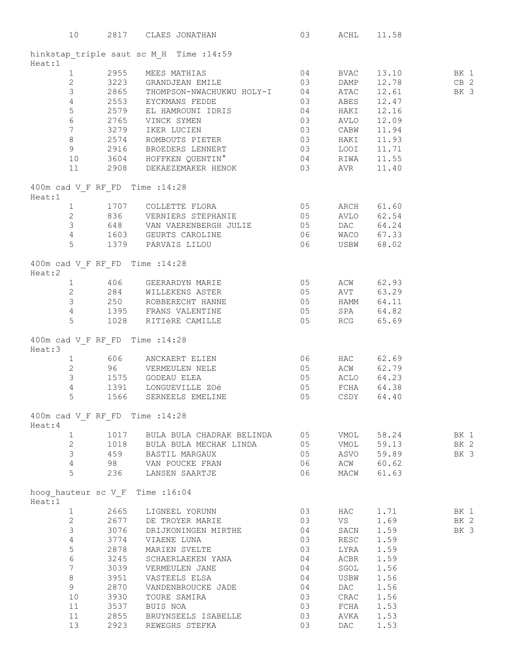|                                            |      | 10 2817 CLAES JONATHAN 03 ACHL 11.58                                                                                                                                                                                                                                                                                                          |    |                            |       |             |
|--------------------------------------------|------|-----------------------------------------------------------------------------------------------------------------------------------------------------------------------------------------------------------------------------------------------------------------------------------------------------------------------------------------------|----|----------------------------|-------|-------------|
|                                            |      | hinkstap_triple saut sc M_H Time :14:59<br>Heat:1                                                                                                                                                                                                                                                                                             |    |                            |       |             |
|                                            |      | 2 2955 MEES MATHIAS 04 BVAC 13.10 BK 1<br>2 3223 GRANDJEAN EMILE 03 DAMP 12.78 CB 2<br>3 2865 THOMPSON-NWACHUKWU HOLY-I 04 ATAC 12.61 BK 3<br>4 2553 EYCKMANS FEDDE 03 ABES 12.47<br>5 2579 EL HAMROUNI IDRIS 04 HAKI 12.16<br>6 2765 VI                                                                                                      |    |                            |       |             |
|                                            |      |                                                                                                                                                                                                                                                                                                                                               |    |                            |       |             |
|                                            |      |                                                                                                                                                                                                                                                                                                                                               |    |                            |       |             |
|                                            |      |                                                                                                                                                                                                                                                                                                                                               |    |                            |       |             |
|                                            |      |                                                                                                                                                                                                                                                                                                                                               |    |                            |       |             |
|                                            |      |                                                                                                                                                                                                                                                                                                                                               |    |                            |       |             |
|                                            |      |                                                                                                                                                                                                                                                                                                                                               |    |                            |       |             |
|                                            |      |                                                                                                                                                                                                                                                                                                                                               |    |                            |       |             |
|                                            |      |                                                                                                                                                                                                                                                                                                                                               |    |                            |       |             |
| 10                                         |      | 9 2916 BROEDERS LENNERT 03 LOOI 11.71<br>10 3604 HOFFKEN QUENTIN° 04 RIWA 11.55                                                                                                                                                                                                                                                               |    |                            |       |             |
| 11                                         |      | 2908 DEKAEZEMAKER HENOK 03 AVR                                                                                                                                                                                                                                                                                                                |    |                            | 11.40 |             |
| 400m cad V F RF FD Time : 14:28<br>Heat:1  |      |                                                                                                                                                                                                                                                                                                                                               |    |                            |       |             |
|                                            |      |                                                                                                                                                                                                                                                                                                                                               |    |                            |       |             |
|                                            |      |                                                                                                                                                                                                                                                                                                                                               |    |                            |       |             |
|                                            |      |                                                                                                                                                                                                                                                                                                                                               |    |                            |       |             |
|                                            |      |                                                                                                                                                                                                                                                                                                                                               |    |                            |       |             |
|                                            |      | $\begin{tabular}{lllllllllll} 1&1707&\texttt{COLLETTE FLORA} &05&\texttt{ARCH}&61.60\\ 2&836&\texttt{VERNIERS STEPHANIE}&05&\texttt{AVLO}&62.54\\ 3&648&\texttt{VAN VAREENBERGH JULIE}&05&\texttt{DAC}&64.24\\ 4&1603&\texttt{GEURTS CAROLINE}&06&\texttt{WACO}&67.33\\ 5&1379&\texttt{PARVAIS LILOU}&06&\texttt{USBW}&68.02\\ \end{tabular}$ |    |                            |       |             |
| 400m cad V F RF FD Time : 14:28            |      |                                                                                                                                                                                                                                                                                                                                               |    |                            |       |             |
|                                            |      |                                                                                                                                                                                                                                                                                                                                               |    |                            |       |             |
|                                            |      |                                                                                                                                                                                                                                                                                                                                               |    |                            |       |             |
|                                            |      |                                                                                                                                                                                                                                                                                                                                               |    |                            |       |             |
|                                            |      |                                                                                                                                                                                                                                                                                                                                               |    |                            |       |             |
|                                            |      | Heat:2 - -<br>1 406 GEERARDYN MARIE 05 ACW 62.93<br>2 284 WILLEKENS ASTER 05 AVT 63.29<br>3 250 ROBBERECHT HANNE 05 HAMM 64.11<br>4 1395 FRANS VALENTINE 05 SPA 64.82<br>1000 DITINE CAMILLE<br>5 1028 RITIÈRE CAMILLE 65.69                                                                                                                  |    |                            |       |             |
| 400m cad V_F RF_FD Time :14:28<br>Heat:3   |      |                                                                                                                                                                                                                                                                                                                                               |    |                            |       |             |
|                                            |      | $\begin{tabular}{lllllllll} 1 & 606 & ANCKAERT ELIEN & 06 & HAC & 62.69 \\ 2 & 96 & VERMEULER & NELE & 05 & ACW & 62.79 \\ 3 & 1575 & GODEAU ELEA & 05 & ACLO & 64.23 \\ 4 & 1391 & LONGUEVILLE ZOé & 05 & FCHA & 64.38 \\ \end{tabular}$                                                                                                     |    |                            |       |             |
|                                            |      |                                                                                                                                                                                                                                                                                                                                               |    |                            |       |             |
|                                            |      |                                                                                                                                                                                                                                                                                                                                               |    |                            |       |             |
|                                            |      |                                                                                                                                                                                                                                                                                                                                               |    |                            |       |             |
| 5                                          |      | 1566 SERNEELS EMELINE 05 CSDY 64.40                                                                                                                                                                                                                                                                                                           |    |                            |       |             |
| 400m cad V F RF FD Time : 14:28<br>Heat: 4 |      |                                                                                                                                                                                                                                                                                                                                               |    |                            |       |             |
| $\mathbf{1}$                               |      | 1017 BULA BULA CHADRAK BELINDA 05 VMOL                                                                                                                                                                                                                                                                                                        |    | VMOL<br>VMOL<br>ASVO<br>AC | 58.24 | BK 1        |
| $\overline{2}$                             |      |                                                                                                                                                                                                                                                                                                                                               | 05 |                            | 59.13 | BK 2        |
| $\mathfrak{Z}$                             |      | 1018 BULA BULA MECHAK LINDA<br>459 BASTIL MARGAUX                                                                                                                                                                                                                                                                                             | 05 |                            | 59.89 | BK 3        |
| $4\overline{ }$                            |      | 98 VAN POUCKE FRAN                                                                                                                                                                                                                                                                                                                            | 06 |                            | 60.62 |             |
| 5                                          |      | 236 LANSEN SAARTJE                                                                                                                                                                                                                                                                                                                            | 06 | MACW                       | 61.63 |             |
| hoog hauteur sc V F Time : 16:04<br>Heat:1 |      |                                                                                                                                                                                                                                                                                                                                               |    |                            |       |             |
| $\mathbf{1}$                               |      | 2665 LIGNEEL YORUNN                                                                                                                                                                                                                                                                                                                           | 03 | <b>HAC</b>                 | 1.71  | <b>BK</b> 1 |
| $\overline{2}$                             |      | 2677 DE TROYER MARIE                                                                                                                                                                                                                                                                                                                          | 03 | VS                         | 1.69  | BK 2        |
| 3                                          |      | 3076 DRIJKONINGEN MIRTHE                                                                                                                                                                                                                                                                                                                      | 04 | SACN                       | 1.59  | BK 3        |
| $\overline{4}$                             |      | $3774$ VIAENE LUNA                                                                                                                                                                                                                                                                                                                            | 03 | RESC                       | 1.59  |             |
| 5                                          | 2878 | MARIEN SVELTE                                                                                                                                                                                                                                                                                                                                 | 03 | LYRA                       | 1.59  |             |
| $\epsilon$                                 |      | 3245 SCHAERLAEKEN YANA 04                                                                                                                                                                                                                                                                                                                     |    | ACBR                       | 1.59  |             |
| $\overline{7}$                             |      | 3039 VERMEULEN JANE                                                                                                                                                                                                                                                                                                                           | 04 | SGOL                       | 1.56  |             |
| 8                                          |      | 3951 VASTEELS ELSA                                                                                                                                                                                                                                                                                                                            | 04 | USBW                       | 1.56  |             |
| 9 <sup>1</sup>                             |      | 2870 VANDENBROUCKE JADE                                                                                                                                                                                                                                                                                                                       | 04 | DAC                        | 1.56  |             |
| $10$                                       | 3930 | TOURE SAMIRA                                                                                                                                                                                                                                                                                                                                  | 03 | CRAC                       | 1.56  |             |
| 11                                         |      | 3537 BUIS NOA                                                                                                                                                                                                                                                                                                                                 | 03 | FCHA                       | 1.53  |             |
| 11                                         |      |                                                                                                                                                                                                                                                                                                                                               | 03 | AVKA                       | 1.53  |             |
| 13                                         |      | 2855 BRUYNSEELS ISABELLE<br>2923 REWEGHS STEFKA                                                                                                                                                                                                                                                                                               | 03 | DAC                        | 1.53  |             |
|                                            |      |                                                                                                                                                                                                                                                                                                                                               |    |                            |       |             |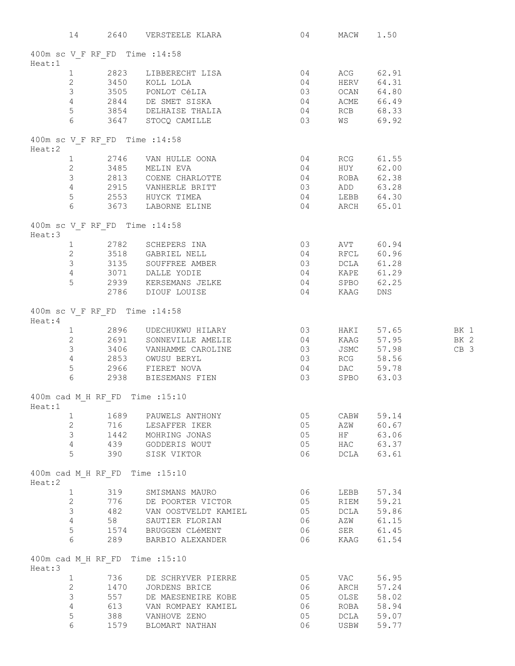| 14                                        |      | 2640 VERSTEELE KLARA 64                                                                                                                                                                                                          |                                         | MACW 1.50 |                                    |        |
|-------------------------------------------|------|----------------------------------------------------------------------------------------------------------------------------------------------------------------------------------------------------------------------------------|-----------------------------------------|-----------|------------------------------------|--------|
| 400m sc V F RF FD Time : 14:58            |      |                                                                                                                                                                                                                                  |                                         |           |                                    |        |
| Heat:1                                    |      |                                                                                                                                                                                                                                  |                                         |           |                                    |        |
|                                           |      |                                                                                                                                                                                                                                  |                                         |           |                                    |        |
|                                           |      |                                                                                                                                                                                                                                  |                                         |           |                                    |        |
|                                           |      |                                                                                                                                                                                                                                  |                                         |           |                                    |        |
|                                           |      |                                                                                                                                                                                                                                  |                                         |           |                                    |        |
|                                           |      |                                                                                                                                                                                                                                  |                                         |           |                                    |        |
|                                           |      | - -<br>1 2823 LIBBERECHT LISA 04 ACG 62.91<br>2 3450 KOLL LOLA 04 HERV 64.31<br>3 3505 PONLOT CéLIA 03 OCAN 64.80<br>4 2844 DE SMET SISKA 04 ACME 66.49<br>3854 DELHAISE THALIA 04 RCB 68.33<br>6 3647 STOCQ CAMILLE 03 WS 69.92 |                                         |           |                                    |        |
| 400m sc V F RF FD Time : 14:58<br>Heat:2  |      |                                                                                                                                                                                                                                  |                                         |           |                                    |        |
|                                           |      |                                                                                                                                                                                                                                  |                                         |           |                                    |        |
|                                           |      |                                                                                                                                                                                                                                  |                                         |           |                                    |        |
|                                           |      |                                                                                                                                                                                                                                  |                                         |           |                                    |        |
|                                           |      |                                                                                                                                                                                                                                  |                                         |           |                                    |        |
|                                           |      |                                                                                                                                                                                                                                  |                                         |           |                                    |        |
|                                           |      |                                                                                                                                                                                                                                  |                                         |           |                                    |        |
| 400m sc V F RF FD Time : 14:58            |      |                                                                                                                                                                                                                                  |                                         |           |                                    |        |
| Heat:3                                    |      |                                                                                                                                                                                                                                  |                                         |           |                                    |        |
|                                           |      | 1 2782 SCHEPERS INA                                                                                                                                                                                                              | $\begin{array}{c} 03 \\ 04 \end{array}$ |           | AVT 60.94                          |        |
|                                           |      | 2 3518 GABRIEL NELL                                                                                                                                                                                                              |                                         |           | RFCL 60.96                         |        |
|                                           |      |                                                                                                                                                                                                                                  |                                         |           |                                    |        |
|                                           |      |                                                                                                                                                                                                                                  |                                         |           |                                    |        |
|                                           |      |                                                                                                                                                                                                                                  |                                         |           |                                    |        |
|                                           |      | 3 3135 SOUFFREE AMBER<br>3 3135 SOUFFREE AMBER<br>4 3071 DALLE YODIE 04 KAPE 61.29<br>5 2939 KERSEMANS JELKE 04 SPBO 62.25<br>2786 DIOUF LOUISE 04 KAAG DNS                                                                      |                                         |           |                                    |        |
| 400m sc V F RF FD Time : 14:58            |      |                                                                                                                                                                                                                                  |                                         |           |                                    |        |
| Heat:4                                    |      |                                                                                                                                                                                                                                  |                                         |           |                                    |        |
|                                           |      | 1 2896 UDECHUKWU HILARY 03<br>2 2691 SONNEVILLE AMELIE 104                                                                                                                                                                       |                                         |           | HAKI 57.65 BK 1<br>KAAG 57.95 BK 2 |        |
|                                           |      |                                                                                                                                                                                                                                  |                                         |           |                                    |        |
|                                           |      | 3 3406 VANHAMME CAROLINE 03                                                                                                                                                                                                      |                                         |           | JSMC 57.98                         | $CB$ 3 |
|                                           |      |                                                                                                                                                                                                                                  |                                         |           | RCG 58.56                          |        |
|                                           |      | 4 2853 OWUSU BERYL<br>5 2966 FIERET NOVA 04<br>6 2938 BIESEMANS FIEN 03                                                                                                                                                          |                                         |           | DAC 59.78                          |        |
|                                           |      |                                                                                                                                                                                                                                  |                                         |           | SPBO 63.03                         |        |
| 400m cad M H RF FD Time : 15:10<br>Heat:1 |      |                                                                                                                                                                                                                                  |                                         |           |                                    |        |
| 1                                         |      | 1689 PAUWELS ANTHONY                                                                                                                                                                                                             | 05                                      | CABW      | 59.14                              |        |
| $2^{\circ}$                               |      | 716 LESAFFER IKER                                                                                                                                                                                                                | 05                                      |           | AZW 60.67                          |        |
| $3 \quad \blacksquare$                    |      | 1442 MOHRING JONAS                                                                                                                                                                                                               | 05                                      |           | HF 63.06                           |        |
| $\overline{4}$                            |      | 439 GODDERIS WOUT                                                                                                                                                                                                                | 05                                      |           | HAC 63.37                          |        |
| 5                                         |      | 390 SISK VIKTOR                                                                                                                                                                                                                  | 06 06                                   |           | DCLA 63.61                         |        |
| 400m cad M H RF FD Time : 15:10           |      |                                                                                                                                                                                                                                  |                                         |           |                                    |        |
| Heat:2                                    |      |                                                                                                                                                                                                                                  |                                         |           |                                    |        |
| $\mathbf{1}$                              | 319  | SMISMANS MAURO                                                                                                                                                                                                                   | 06                                      | LEBB      | 57.34                              |        |
| $\mathbf{2}$                              |      | 776 DE POORTER VICTOR                                                                                                                                                                                                            | 05                                      |           | RIEM 59.21                         |        |
| 3                                         |      | 482 VAN OOSTVELDT KAMIEL                                                                                                                                                                                                         | 05                                      |           | DCLA 59.86                         |        |
| $4\overline{ }$                           | 58   | SAUTIER FLORIAN                                                                                                                                                                                                                  | 06 06                                   |           | AZW 61.15                          |        |
| 5                                         |      | 1574 BRUGGEN CLéMENT                                                                                                                                                                                                             | 06 06                                   |           | SER 61.45                          |        |
| 6                                         | 289  | BARBIO ALEXANDER                                                                                                                                                                                                                 | 06                                      |           | KAAG 61.54                         |        |
| 400m cad M H RF FD Time : 15:10<br>Heat:3 |      |                                                                                                                                                                                                                                  |                                         |           |                                    |        |
| $\mathbf{1}$                              | 736  | DE SCHRYVER PIERRE                                                                                                                                                                                                               | 05                                      | VAC       | 56.95                              |        |
| $\mathbf{2}$                              | 1470 | JORDENS BRICE                                                                                                                                                                                                                    | 06                                      | ARCH      | 57.24                              |        |
| 3                                         | 557  | DE MAESENEIRE KOBE                                                                                                                                                                                                               | 05                                      |           | OLSE 58.02                         |        |
| 4                                         |      | 613 VAN ROMPAEY KAMIEL                                                                                                                                                                                                           | 06                                      |           | ROBA 58.94                         |        |
| 5                                         |      | 388 VANHOVE ZENO                                                                                                                                                                                                                 | 05                                      |           | DCLA 59.07                         |        |
| 6                                         | 1579 | BLOMART NATHAN                                                                                                                                                                                                                   | 06                                      |           | USBW 59.77                         |        |
|                                           |      |                                                                                                                                                                                                                                  |                                         |           |                                    |        |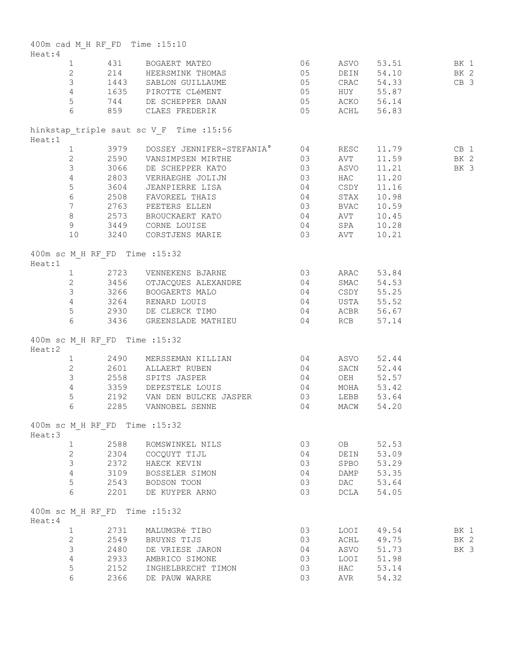|         |                 |      | 400m cad M H RF FD Time : 15:10                                                                                                                                                                                                          |    |      |            |             |
|---------|-----------------|------|------------------------------------------------------------------------------------------------------------------------------------------------------------------------------------------------------------------------------------------|----|------|------------|-------------|
| Heat:4  |                 |      |                                                                                                                                                                                                                                          |    |      |            |             |
|         |                 |      |                                                                                                                                                                                                                                          |    |      |            |             |
|         |                 |      |                                                                                                                                                                                                                                          |    |      |            |             |
|         |                 |      |                                                                                                                                                                                                                                          |    |      |            |             |
|         |                 |      |                                                                                                                                                                                                                                          |    |      |            |             |
|         |                 |      |                                                                                                                                                                                                                                          |    |      |            |             |
|         |                 |      | 431 BOGAERT MATEO<br>2 214 HEERSMINK THOMAS<br>3 1443 SABLON GUILLAUME 05 CRAC 54.33 CB 3<br>4 1635 PIROTTE CLéMENT 05 HUY 55.87 CB 3<br>744 DE SCHEPPER DAAN 05 ACKO 56.14<br>6 859 CLAES FREDERIK 05 ACKO 56.14<br>56.83               |    |      |            |             |
| Heat:1  |                 |      | hinkstap triple saut sc V F Time : 15:56                                                                                                                                                                                                 |    |      |            |             |
|         |                 |      | 3979 DOSSEY JENNIFER-STEFANIA° 04 RESC 11.79<br>2 2590 VANSIMPSEN MIRTHE 03 AVT 11.59<br>3 3066 DE SCHEPPER KATO 03 ASVO 11.21<br>4 2803 VERHAEGHE JOLIJN 03 HAC 11.20<br>3604 JEANPIERRE LISA 04 CSDY 11.16<br>6 2508 FAVOREEL THAIS 04 |    |      | 11.79 CB 1 |             |
|         |                 |      |                                                                                                                                                                                                                                          |    |      | 11.59      | BK 2        |
|         |                 |      |                                                                                                                                                                                                                                          |    |      | 11.21      | <b>BK 3</b> |
|         |                 |      |                                                                                                                                                                                                                                          |    |      |            |             |
|         |                 |      |                                                                                                                                                                                                                                          |    |      |            |             |
|         |                 |      |                                                                                                                                                                                                                                          |    |      |            |             |
|         |                 |      |                                                                                                                                                                                                                                          |    |      |            |             |
|         |                 |      |                                                                                                                                                                                                                                          |    |      |            |             |
|         |                 |      |                                                                                                                                                                                                                                          |    |      |            |             |
|         |                 |      |                                                                                                                                                                                                                                          |    |      | 10.28      |             |
|         |                 |      | 9 3449 CORNE LOUISE 64 SPA<br>10 3240 CORSTJENS MARIE 63 AVT                                                                                                                                                                             |    |      | 10.21      |             |
| Heat:1  |                 |      | 400m sc M H RF FD Time : 15:32                                                                                                                                                                                                           |    |      |            |             |
|         |                 |      | 1 2723 VENNEKENS BJARNE 03 ARAC 53.84                                                                                                                                                                                                    |    |      |            |             |
|         |                 |      | 2 3456 OTJACQUES ALEXANDRE 04 SMAC 54.53                                                                                                                                                                                                 |    |      |            |             |
|         |                 |      | 3 3266 BOOGAERTS MALO 64 CSDY 55.25                                                                                                                                                                                                      |    |      |            |             |
|         |                 |      | 4 3264 RENARD LOUIS 04 USTA 55.52                                                                                                                                                                                                        |    |      |            |             |
|         |                 |      | 5 2930 DE CLERCK TIMO 64 ACBR 56.67                                                                                                                                                                                                      |    |      |            |             |
|         |                 |      | 6 3436 GREENSLADE MATHIEU 64 RCB 57.14                                                                                                                                                                                                   |    |      |            |             |
|         |                 |      | 400m sc M H RF FD Time : 15:32                                                                                                                                                                                                           |    |      |            |             |
| Heat:2  |                 |      |                                                                                                                                                                                                                                          |    |      |            |             |
|         |                 |      | 1 2490 MERSSEMAN KILLIAN 04 ASVO 52.44                                                                                                                                                                                                   |    |      |            |             |
|         |                 |      | 2 2601 ALLAERT RUBEN                                                                                                                                                                                                                     | 04 |      | SACN 52.44 |             |
|         |                 |      | 3 2558 SPITS JASPER                                                                                                                                                                                                                      | 04 |      | OEH 52.57  |             |
|         |                 |      | 4 3359 DEPESTELE LOUIS 04                                                                                                                                                                                                                |    |      | MOHA 53.42 |             |
|         |                 |      | 5 2192 VAN DEN BULCKE JASPER 03                                                                                                                                                                                                          |    |      | LEBB 53.64 |             |
|         | $6\overline{6}$ | 2285 | VANNOBEL SENNE                                                                                                                                                                                                                           | 04 | MACW | 54.20      |             |
| Heat:3  |                 |      | 400m sc M H RF FD Time : 15:32                                                                                                                                                                                                           |    |      |            |             |
|         | $\mathbf{1}$    | 2588 | ROMSWINKEL NILS                                                                                                                                                                                                                          | 03 | OB   | 52.53      |             |
|         | 2               | 2304 | COCOUYT TIJL                                                                                                                                                                                                                             | 04 | DEIN | 53.09      |             |
|         | $\mathfrak{Z}$  | 2372 | HAECK KEVIN                                                                                                                                                                                                                              | 03 | SPBO | 53.29      |             |
|         | $\overline{4}$  | 3109 | BOSSELER SIMON                                                                                                                                                                                                                           | 04 | DAMP | 53.35      |             |
|         | 5               | 2543 | BODSON TOON                                                                                                                                                                                                                              | 03 | DAC  | 53.64      |             |
|         | 6               | 2201 | DE KUYPER ARNO                                                                                                                                                                                                                           | 03 | DCLA | 54.05      |             |
|         |                 |      |                                                                                                                                                                                                                                          |    |      |            |             |
| Heat: 4 |                 |      | 400m sc M H RF FD Time : 15:32                                                                                                                                                                                                           |    |      |            |             |
|         | $\mathbf{1}$    | 2731 | MALUMGRé TIBO                                                                                                                                                                                                                            | 03 | LOOI | 49.54      | BK 1        |
|         | 2               | 2549 | BRUYNS TIJS                                                                                                                                                                                                                              | 03 | ACHL | 49.75      | BK 2        |
|         | $\mathfrak{Z}$  | 2480 | DE VRIESE JARON                                                                                                                                                                                                                          | 04 | ASVO | 51.73      | BK 3        |
|         | 4               | 2933 | AMBRICO SIMONE                                                                                                                                                                                                                           | 03 | LOOI | 51.98      |             |
|         | 5               | 2152 | INGHELBRECHT TIMON                                                                                                                                                                                                                       | 03 | HAC  | 53.14      |             |
|         | 6               | 2366 | DE PAUW WARRE                                                                                                                                                                                                                            | 03 | AVR  | 54.32      |             |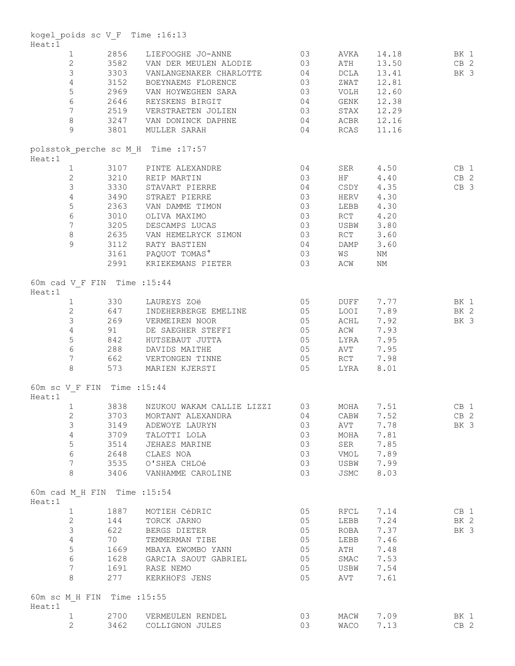| kogel poids sc V F Time : 16:13<br>Heat:1 |      |                                                                                                                                                                                                                            |                                                                  |                             |                        |                 |
|-------------------------------------------|------|----------------------------------------------------------------------------------------------------------------------------------------------------------------------------------------------------------------------------|------------------------------------------------------------------|-----------------------------|------------------------|-----------------|
| $\mathbf{1}$                              |      | 2856 LIEFOOGHE JO-ANNE 03                                                                                                                                                                                                  |                                                                  | AVKA                        | 14.18                  | BK 1            |
|                                           |      | 2 3582 VAN DER MEULEN ALODIE 03                                                                                                                                                                                            |                                                                  | ATH                         | 13.50 CB 2             |                 |
| $\mathcal{S}$                             |      |                                                                                                                                                                                                                            |                                                                  |                             |                        |                 |
|                                           |      | 3303 VANLANGENAKER CHARLOTTE 04                                                                                                                                                                                            |                                                                  | DCLA                        | 13.41                  | BK 3            |
|                                           |      | 4 3152 BOEYNAEMS FLORENCE                                                                                                                                                                                                  |                                                                  |                             | 12.81                  |                 |
| 5 <sup>5</sup>                            |      |                                                                                                                                                                                                                            |                                                                  |                             | 12.60                  |                 |
| $6\overline{6}$                           |      |                                                                                                                                                                                                                            |                                                                  |                             | 12.38                  |                 |
| $7\overline{ }$                           |      |                                                                                                                                                                                                                            |                                                                  |                             | 12.29                  |                 |
| 8                                         |      |                                                                                                                                                                                                                            |                                                                  |                             | 12.16                  |                 |
| 9                                         |      | 3152 BOEYNAEMS FLORENCE 03 ZWAT<br>2969 VAN HOYWEGHEN SARA 03 VOLH<br>2646 REYSKENS BIRGIT 04 GENK<br>2519 VERSTRAETEN JOLIEN 03 STAX<br>3247 VAN DONINCK DAPHNE 04 ACBR<br>3801 MULLER SARAH 04 RCAS<br>3801 MULLER SARAH |                                                                  |                             | 11.16                  |                 |
| Heat:1                                    |      | polsstok perche sc M H Time : 17:57                                                                                                                                                                                        |                                                                  |                             |                        |                 |
|                                           |      | 1 3107 PINTE ALEXANDRE                                                                                                                                                                                                     | 04                                                               |                             | SER 4.50               | CB <sub>1</sub> |
| $\overline{2}$                            |      |                                                                                                                                                                                                                            | $\begin{bmatrix} 0 & 3 \\ 0 & 4 \\ 0 & 3 \\ 0 & 3 \end{bmatrix}$ | $\rm HF$                    | 4.40                   | $CB$ 2          |
| $\mathcal{S}$                             |      |                                                                                                                                                                                                                            |                                                                  |                             |                        | CB 3            |
| $4\overline{ }$                           |      |                                                                                                                                                                                                                            |                                                                  |                             | CSDY 4.35<br>HERV 4.30 |                 |
| $5\phantom{.0}$                           |      | 2363 VAN DAMME TIMON                                                                                                                                                                                                       |                                                                  |                             | LEBB 4.30              |                 |
|                                           |      | 3010 OLIVA MAXIMO                                                                                                                                                                                                          |                                                                  |                             |                        |                 |
| $6\overline{6}$                           |      |                                                                                                                                                                                                                            | 03                                                               | RCT                         | 4.20                   |                 |
|                                           |      | 7 3205 DESCAMPS LUCAS                                                                                                                                                                                                      | 03                                                               | USBW                        | 3.80                   |                 |
| 8                                         |      | 2635 VAN HEMELRYCK SIMON 03                                                                                                                                                                                                |                                                                  | RCT                         | 3.60                   |                 |
| $\overline{9}$                            |      | 3112 RATY BASTIEN                                                                                                                                                                                                          | 04                                                               | DAMP                        | 3.60                   |                 |
|                                           |      | 3161 PAQUOT TOMAS°                                                                                                                                                                                                         | 03                                                               | WS                          | NΜ                     |                 |
|                                           |      | 2991 KRIEKEMANS PIETER                                                                                                                                                                                                     | 03                                                               | ACW                         | ΝM                     |                 |
| 60m cad V F FIN Time : 15:44<br>Heat:1    |      |                                                                                                                                                                                                                            |                                                                  |                             |                        |                 |
| $\mathbf{1}$                              |      | 330 LAUREYS ZOë                                                                                                                                                                                                            | 05                                                               |                             | DUFF 7.77 BK 1         |                 |
|                                           |      | 2 647 INDEHERBERGE EMELINE 05                                                                                                                                                                                              |                                                                  |                             | LOOI 7.89 BK 2         |                 |
|                                           |      | 3 269 VERMEIREN NOOR                                                                                                                                                                                                       | 05                                                               | ACHL                        | 7.92                   | BK 3            |
|                                           |      | 4 91 DE SAEGHER STEFFI 05                                                                                                                                                                                                  |                                                                  | ACW                         | 7.93                   |                 |
| 5 <sup>5</sup>                            |      |                                                                                                                                                                                                                            |                                                                  |                             |                        |                 |
|                                           |      | 842 HUTSEBAUT JUTTA 65                                                                                                                                                                                                     |                                                                  | LYRA                        | 7.95                   |                 |
| $6\overline{6}$                           |      |                                                                                                                                                                                                                            | 05                                                               | $\operatorname{AVT}$        | 7.95                   |                 |
| $7\overline{ }$<br>$8\,$                  |      |                                                                                                                                                                                                                            | $\begin{array}{c} 05 \\ 05 \end{array}$                          | $\ensuremath{\mathsf{RCT}}$ | 7.98<br>LYRA 8.01      |                 |
|                                           |      |                                                                                                                                                                                                                            |                                                                  |                             |                        |                 |
| 60m sc V F FIN Time : 15:44<br>Heat:1     |      |                                                                                                                                                                                                                            |                                                                  |                             |                        |                 |
|                                           |      | 1 3838 NZUKOU WAKAM CALLIE LIZZI 03 MOHA 7.51                                                                                                                                                                              |                                                                  |                             |                        | CB 1            |
| 2                                         | 3703 | MORTANT ALEXANDRA                                                                                                                                                                                                          | 04                                                               | CABW                        | 7.52                   | CB <sub>2</sub> |
| 3                                         | 3149 | ADEWOYE LAURYN                                                                                                                                                                                                             | 03                                                               | AVT                         | 7.78                   | BK 3            |
| $\overline{4}$                            | 3709 | TALOTTI LOLA                                                                                                                                                                                                               | 03                                                               | MOHA                        | 7.81                   |                 |
| 5                                         | 3514 | JEHAES MARINE                                                                                                                                                                                                              | 03                                                               | SER                         | 7.85                   |                 |
| $\epsilon$                                | 2648 | CLAES NOA                                                                                                                                                                                                                  | 03                                                               | VMOL                        | 7.89                   |                 |
| $7\phantom{.0}$                           |      | 3535 O'SHEA CHLOé                                                                                                                                                                                                          | 03                                                               | USBW                        | 7.99                   |                 |
| 8                                         | 3406 | VANHAMME CAROLINE                                                                                                                                                                                                          | 03                                                               | JSMC                        | 8.03                   |                 |
| 60m cad M H FIN Time : 15:54<br>Heat:1    |      |                                                                                                                                                                                                                            |                                                                  |                             |                        |                 |
|                                           |      |                                                                                                                                                                                                                            | 05                                                               |                             |                        |                 |
| $\mathbf{1}$                              | 1887 | MOTIEH CéDRIC                                                                                                                                                                                                              |                                                                  | RFCL                        | 7.14                   | CB 1            |
| $\mathbf{2}$                              | 144  | TORCK JARNO                                                                                                                                                                                                                | 05                                                               | LEBB                        | 7.24                   | BK 2            |
| 3                                         | 622  | BERGS DIETER                                                                                                                                                                                                               | 05                                                               | ROBA                        | 7.37                   | BK 3            |
| 4                                         | 70   | TEMMERMAN TIBE                                                                                                                                                                                                             | 05                                                               | LEBB                        | 7.46                   |                 |
| 5                                         |      | 1669 MBAYA EWOMBO YANN                                                                                                                                                                                                     | 05                                                               | ATH                         | 7.48                   |                 |
| 6                                         |      | 1628 GARCIA SAOUT GABRIEL                                                                                                                                                                                                  | 05                                                               | SMAC                        | 7.53                   |                 |
| $7^{\circ}$                               |      | 1691 RASE NEMO                                                                                                                                                                                                             | 05                                                               | USBW                        | 7.54                   |                 |
| 8                                         | 277  | KERKHOFS JENS                                                                                                                                                                                                              | 05                                                               | AVT                         | 7.61                   |                 |
| 60m sc M H FIN Time : 15:55<br>Heat:1     |      |                                                                                                                                                                                                                            |                                                                  |                             |                        |                 |
| $\mathbf{1}$                              |      | 2700 VERMEULEN RENDEL                                                                                                                                                                                                      | 03                                                               |                             | MACW 7.09              | BK 1            |
| $\overline{2}$                            |      |                                                                                                                                                                                                                            |                                                                  |                             |                        |                 |
|                                           | 3462 | COLLIGNON JULES                                                                                                                                                                                                            | 03                                                               | WACO                        | 7.13                   | $CB$ 2          |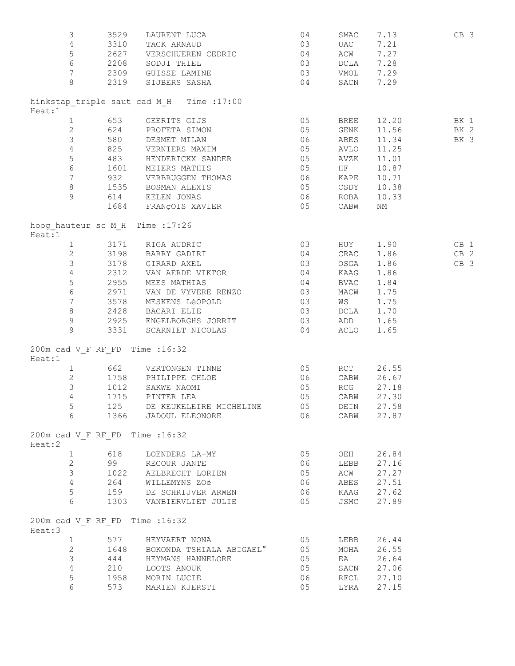| 3                                         | 3529 | LAURENT LUCA 04                                                                                    |                                                                                                                                                                                                                                                                                                                                             | SMAC        | 7.13                     | CB 3            |
|-------------------------------------------|------|----------------------------------------------------------------------------------------------------|---------------------------------------------------------------------------------------------------------------------------------------------------------------------------------------------------------------------------------------------------------------------------------------------------------------------------------------------|-------------|--------------------------|-----------------|
| $\overline{4}$                            |      | 3310 TACK ARNAUD                                                                                   | 03                                                                                                                                                                                                                                                                                                                                          | <b>UAC</b>  | 7.21                     |                 |
| 5 <sup>5</sup>                            |      | 2627 VERSCHUEREN CEDRIC 04                                                                         |                                                                                                                                                                                                                                                                                                                                             | ACW         | 7.27                     |                 |
|                                           |      | 6 2208 SODJI THIEL                                                                                 | 03                                                                                                                                                                                                                                                                                                                                          |             | DCLA 7.28                |                 |
|                                           |      | 7 2309 GUISSE LAMINE 03                                                                            |                                                                                                                                                                                                                                                                                                                                             |             | VMOL 7.29                |                 |
| 8                                         |      | 2319 SIJBERS SASHA 04                                                                              |                                                                                                                                                                                                                                                                                                                                             |             | SACN 7.29                |                 |
|                                           |      | hinkstap triple saut cad M H Time : 17:00                                                          |                                                                                                                                                                                                                                                                                                                                             |             |                          |                 |
| Heat:1<br>$\mathbf{1}$                    |      | 653 GEERITS GIJS                                                                                   | $\begin{array}{c} 05 \\ 05 \end{array}$                                                                                                                                                                                                                                                                                                     | <b>BREE</b> | 12.20 BK 1               |                 |
| $\overline{2}$                            |      | 624 PROFETA SIMON                                                                                  |                                                                                                                                                                                                                                                                                                                                             | GENK        | 11.56                    | BK 2            |
|                                           |      | 3 580 DESMET MILAN                                                                                 | 06                                                                                                                                                                                                                                                                                                                                          |             | ABES 11.34               | BK 3            |
|                                           |      | 4 825 VERNIERS MAXIM 05                                                                            |                                                                                                                                                                                                                                                                                                                                             |             | AVLO 11.25               |                 |
| $5\overline{)}$                           |      | 483 HENDERICKX SANDER 05                                                                           |                                                                                                                                                                                                                                                                                                                                             | AVZK        | 11.01                    |                 |
| $6\overline{6}$                           |      | 1601 MEIERS MATHIS                                                                                 | 05                                                                                                                                                                                                                                                                                                                                          | HF          | 10.87                    |                 |
| 7 <sup>7</sup>                            |      |                                                                                                    |                                                                                                                                                                                                                                                                                                                                             | KAPE        | 10.71                    |                 |
| 8                                         |      |                                                                                                    |                                                                                                                                                                                                                                                                                                                                             | CSDY        | 10.38                    |                 |
| 9                                         |      |                                                                                                    |                                                                                                                                                                                                                                                                                                                                             | ROBA        | 10.33                    |                 |
|                                           |      | 932 VERBRUGGEN THOMAS 06<br>1535 BOSMAN ALEXIS 05<br>614 EELEN JONAS 06<br>1684 FRANÇOIS XAVIER 05 |                                                                                                                                                                                                                                                                                                                                             | CABW        | NΜ                       |                 |
| hoog hauteur sc M H Time : 17:26          |      |                                                                                                    |                                                                                                                                                                                                                                                                                                                                             |             |                          |                 |
| Heat:1                                    |      | 1 3171 RIGA AUDRIC                                                                                 | $\begin{bmatrix} 0 & 3 \\ 0 & 4 \\ 0 & 3 \\ 0 & 4 \\ 0 & 4 \\ 0 & 0 \\ 0 & 0 \\ 0 & 0 \\ 0 & 0 \\ 0 & 0 \\ 0 & 0 \\ 0 & 0 \\ 0 & 0 \\ 0 & 0 \\ 0 & 0 \\ 0 & 0 \\ 0 & 0 \\ 0 & 0 \\ 0 & 0 \\ 0 & 0 \\ 0 & 0 \\ 0 & 0 & 0 \\ 0 & 0 & 0 \\ 0 & 0 & 0 \\ 0 & 0 & 0 \\ 0 & 0 & 0 & 0 \\ 0 & 0 & 0 & 0 \\ 0 & 0 & 0 & 0 \\ 0 & 0 & 0 & 0 \\ 0 & $ |             | HUY 1.90                 | CB <sub>1</sub> |
|                                           |      | 2 3198 BARRY GADIRI                                                                                |                                                                                                                                                                                                                                                                                                                                             |             | CRAC 1.86                | $CB$ 2          |
| $\mathfrak{Z}$                            |      |                                                                                                    |                                                                                                                                                                                                                                                                                                                                             | OSGA        | 1.86                     | CB <sub>3</sub> |
| $4\overline{ }$                           |      | 3178     GIRARD AXEL<br>2312     VAN AERDE VIKTOR<br>2955     MEES MATHIAS                         |                                                                                                                                                                                                                                                                                                                                             | KAAG        | 1.86                     |                 |
| $5\phantom{.0}$                           |      |                                                                                                    |                                                                                                                                                                                                                                                                                                                                             | BVAC        | 1.84                     |                 |
| $6\overline{6}$                           |      | $2971$ VAN DE VYVERE RENZO $03$                                                                    |                                                                                                                                                                                                                                                                                                                                             | MACW        | 1.75                     |                 |
| $7\overline{ }$                           |      | 3578 MESKENS LéOPOLD                                                                               | 03                                                                                                                                                                                                                                                                                                                                          | WS          | 1.75                     |                 |
| 8                                         |      | 2428 BACARI ELIE                                                                                   | 03                                                                                                                                                                                                                                                                                                                                          |             | DCLA 1.70                |                 |
| 9                                         |      | 2925 ENGELBORGHS JORRIT 63 ADD 1.65                                                                |                                                                                                                                                                                                                                                                                                                                             |             |                          |                 |
| $\overline{9}$                            |      | 3331 SCARNIET NICOLAS 04                                                                           |                                                                                                                                                                                                                                                                                                                                             |             | ACLO 1.65                |                 |
| 200m cad V F RF FD Time : 16:32           |      |                                                                                                    |                                                                                                                                                                                                                                                                                                                                             |             |                          |                 |
| Heat:1                                    |      |                                                                                                    |                                                                                                                                                                                                                                                                                                                                             |             |                          |                 |
| $\mathbf{1}$                              |      | $\begin{array}{c} 05 \\ 06 \end{array}$<br>662 VERTONGEN TINNE                                     |                                                                                                                                                                                                                                                                                                                                             | RCT         | 26.55                    |                 |
| $\mathbf{2}$                              |      | 1758 PHILIPPE CHLOE                                                                                |                                                                                                                                                                                                                                                                                                                                             |             | CABW 26.67               |                 |
| 3                                         |      | 1012 SAKWE NAOMI<br>$\begin{array}{c} 05 \\ 05 \end{array}$                                        | 05                                                                                                                                                                                                                                                                                                                                          | RCG         | 27.18                    |                 |
| $\overline{4}$                            |      | 1715 PINTER LEA                                                                                    |                                                                                                                                                                                                                                                                                                                                             |             | CABW 27.30               |                 |
| 5<br>6                                    |      | 125 DE KEUKELEIRE MICHELINE 05<br>1366 JADOUL ELEONORE                                             | 06                                                                                                                                                                                                                                                                                                                                          |             | DEIN 27.58<br>CABW 27.87 |                 |
| 200m cad V F RF FD Time : 16:32           |      |                                                                                                    |                                                                                                                                                                                                                                                                                                                                             |             |                          |                 |
| Heat:2                                    |      |                                                                                                    |                                                                                                                                                                                                                                                                                                                                             |             |                          |                 |
| $\mathbf{1}$                              | 618  | LOENDERS LA-MY                                                                                     | 05                                                                                                                                                                                                                                                                                                                                          | OEH         | 26.84                    |                 |
| $\mathbf{2}$                              |      | 99 RECOUR JANTE                                                                                    | 06                                                                                                                                                                                                                                                                                                                                          | LEBB        | 27.16                    |                 |
| $\mathcal{S}$                             |      | 1022 AELBRECHT LORIEN                                                                              | 05                                                                                                                                                                                                                                                                                                                                          | ACW         | 27.27                    |                 |
| $4\overline{ }$                           |      | 264 WILLEMYNS ZOë                                                                                  | 06 06                                                                                                                                                                                                                                                                                                                                       |             | ABES 27.51               |                 |
| 5                                         |      | 159 DE SCHRIJVER ARWEN                                                                             | 06 06                                                                                                                                                                                                                                                                                                                                       |             | KAAG 27.62               |                 |
| 6                                         |      | 1303 VANBIERVLIET JULIE                                                                            | 05                                                                                                                                                                                                                                                                                                                                          | JSMC        | 27.89                    |                 |
| 200m cad V F RF FD Time : 16:32<br>Heat:3 |      |                                                                                                    |                                                                                                                                                                                                                                                                                                                                             |             |                          |                 |
| $\mathbf{1}$                              |      | 577 HEYVAERT NONA                                                                                  | 05                                                                                                                                                                                                                                                                                                                                          | LEBB        | 26.44                    |                 |
| $\mathbf{2}$                              |      | 1648 BOKONDA TSHIALA ABIGAEL <sup>°</sup>                                                          | 05                                                                                                                                                                                                                                                                                                                                          | MOHA        | 26.55                    |                 |
| $\mathfrak{Z}$                            |      | 444 HEYMANS HANNELORE                                                                              | 05                                                                                                                                                                                                                                                                                                                                          | EA          | 26.64                    |                 |
| 4                                         |      | 210 LOOTS ANOUK                                                                                    | 05                                                                                                                                                                                                                                                                                                                                          |             | SACN 27.06               |                 |
| $\mathsf S$                               |      | 1958 MORIN LUCIE                                                                                   | 06 06                                                                                                                                                                                                                                                                                                                                       |             | RFCL 27.10               |                 |
| 6                                         | 573  | MARIEN KJERSTI                                                                                     | 05                                                                                                                                                                                                                                                                                                                                          | LYRA        | 27.15                    |                 |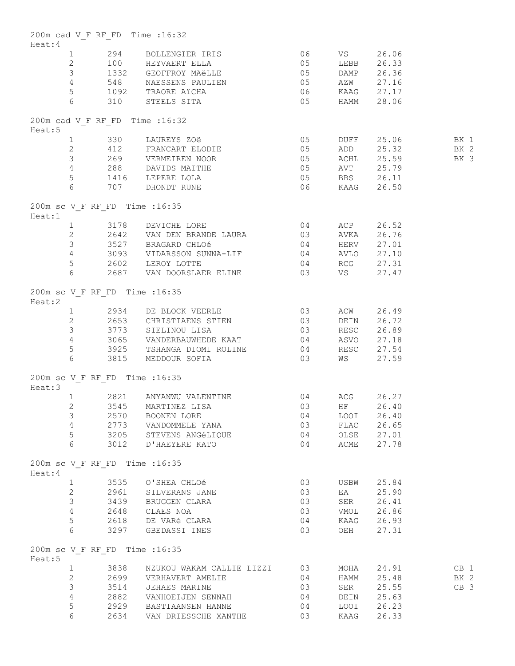| Heat:4  |                |      | 200m cad V F RF FD Time : 16:32                                                                                                                                                                                                                                                           |    |             |            |                 |
|---------|----------------|------|-------------------------------------------------------------------------------------------------------------------------------------------------------------------------------------------------------------------------------------------------------------------------------------------|----|-------------|------------|-----------------|
|         |                |      |                                                                                                                                                                                                                                                                                           |    |             |            |                 |
|         |                |      |                                                                                                                                                                                                                                                                                           |    |             |            |                 |
|         |                |      |                                                                                                                                                                                                                                                                                           |    |             |            |                 |
|         |                |      |                                                                                                                                                                                                                                                                                           |    |             |            |                 |
|         |                |      |                                                                                                                                                                                                                                                                                           |    |             |            |                 |
|         |                |      | 1 294 BOLLENGIER IRIS 06 VS 26.06<br>2 100 HEYVAERT ELLA 05 LEBB 26.33<br>3 1332 GEOFFROY MAËLLE 05 DAMP 26.36<br>4 548 NAESSENS PAULIEN 05 AZW 27.16<br>5 1092 TRAORE AICHA 06 KAAG 27.17<br>6 310 STEELS SITA 05 HAMM 28.06                                                             |    |             |            |                 |
| Heat:5  |                |      | 200m cad V F RF FD Time : 16:32                                                                                                                                                                                                                                                           |    |             |            |                 |
|         |                |      |                                                                                                                                                                                                                                                                                           |    |             |            |                 |
|         |                |      |                                                                                                                                                                                                                                                                                           |    |             |            |                 |
|         |                |      | 3 269 VERMEIREN NOOR 05 ACHL 25.59                                                                                                                                                                                                                                                        |    |             |            | BK 3            |
|         |                |      |                                                                                                                                                                                                                                                                                           |    |             |            |                 |
|         |                |      | 4 288 DAVIDS MAITHE 6 05 AVT 25.79<br>5 1416 LEPERE LOLA 6 707 DHONDT RUNE 6 06 KAAG 26.50                                                                                                                                                                                                |    |             |            |                 |
| Heat:1  |                |      | 200m sc V F RF FD Time : 16:35                                                                                                                                                                                                                                                            |    |             |            |                 |
|         |                |      |                                                                                                                                                                                                                                                                                           |    |             |            |                 |
|         |                |      |                                                                                                                                                                                                                                                                                           |    |             |            |                 |
|         |                |      |                                                                                                                                                                                                                                                                                           |    |             |            |                 |
|         |                |      |                                                                                                                                                                                                                                                                                           |    |             |            |                 |
|         |                |      |                                                                                                                                                                                                                                                                                           |    |             |            |                 |
|         |                |      | $\begin{tabular}{lllllllllllll} 1&3178&DEVICHE LORE &04&ACP&26.52\\ 2&2642&VAN DEN BRANDE LAURA&03&AVKA&26.76\\ 3&3527&BRAGARD CHLOé&04&HERV&27.01\\ 4&3093&VIDARSSON SUMNA-LIF&04&AVLO&27.10\\ 5&2602&LEROY LOTTE&04&RCG&27.31\\ 6&2687&VAN DOORSLAER ELINE&03&VS&27.47\\ \end{tabular}$ |    |             |            |                 |
| Heat:2  |                |      | 200m sc V F RF FD Time : 16:35                                                                                                                                                                                                                                                            |    |             |            |                 |
|         |                |      | $\begin{tabular}{lllllllll} 1 & 2934 & DE BLOCK VEERLE & 03 & ACW & 26.49 \\ 2 & 2653 & CHRISTIAENS STIEN & 03 & DEIN & 26.72 \\ \end{tabular}$                                                                                                                                           |    |             |            |                 |
|         |                |      |                                                                                                                                                                                                                                                                                           |    |             |            |                 |
|         |                |      | 3 3773 SIELINOU LISA<br>03 RESC 26.89                                                                                                                                                                                                                                                     |    |             |            |                 |
|         |                |      |                                                                                                                                                                                                                                                                                           |    |             |            |                 |
|         |                |      |                                                                                                                                                                                                                                                                                           |    |             |            |                 |
|         |                |      | 4 3065 VANDERBAUWHEDE KAAT 04 ASVO 27.18<br>5 3925 TSHANGA DIOMIROLINE 04 RESC 27.54<br>6 3815 MEDDOUR SOFIA 03 WS 27.59                                                                                                                                                                  |    |             |            |                 |
| Heat:3  |                |      | 200m sc V F RF FD Time : 16:35                                                                                                                                                                                                                                                            |    |             |            |                 |
|         |                |      | 04<br>1 2821 ANYANWU VALENTINE                                                                                                                                                                                                                                                            |    |             | ACG 26.27  |                 |
|         |                |      | 2 3545 MARTINEZ LISA                                                                                                                                                                                                                                                                      |    | 03 HF 26.40 |            |                 |
|         | 3              | 2570 | BOONEN LORE                                                                                                                                                                                                                                                                               | 04 |             | LOOI 26.40 |                 |
|         | $\overline{4}$ |      | 2773 VANDOMMELE YANA                                                                                                                                                                                                                                                                      | 03 |             | FLAC 26.65 |                 |
|         | 5              |      | 3205 STEVENS ANGÉLIQUE<br>3012 D'HAEYERE KATO                                                                                                                                                                                                                                             | 04 |             | OLSE 27.01 |                 |
|         | 6              |      |                                                                                                                                                                                                                                                                                           | 04 |             | ACME 27.78 |                 |
| Heat: 4 |                |      | 200m sc V F RF FD Time : 16:35                                                                                                                                                                                                                                                            |    |             |            |                 |
|         | $\mathbf{1}$   |      | 3535 O'SHEA CHLOé                                                                                                                                                                                                                                                                         | 03 |             | USBW 25.84 |                 |
|         | $\overline{2}$ |      | 2961 SILVERANS JANE                                                                                                                                                                                                                                                                       | 03 | EA          | 25.90      |                 |
|         | $\mathcal{S}$  |      | 3439 BRUGGEN CLARA                                                                                                                                                                                                                                                                        | 03 |             | SER 26.41  |                 |
|         | $4 -$          |      | 2648 CLAES NOA                                                                                                                                                                                                                                                                            | 03 |             | VMOL 26.86 |                 |
|         | 5              |      | 2618 DE VARÉ CLARA                                                                                                                                                                                                                                                                        | 04 |             | KAAG 26.93 |                 |
|         | 6              |      | 3297 GBEDASSI INES                                                                                                                                                                                                                                                                        | 03 | OEH         | 27.31      |                 |
| Heat:5  |                |      | 200m sc V F RF FD Time : 16:35                                                                                                                                                                                                                                                            |    |             |            |                 |
|         | $\mathbf{1}$   |      | 3838 NZUKOU WAKAM CALLIE LIZZI 03                                                                                                                                                                                                                                                         |    |             | MOHA 24.91 | CB <sub>1</sub> |
|         | $\overline{2}$ |      | 2699 VERHAVERT AMELIE                                                                                                                                                                                                                                                                     | 04 |             | HAMM 25.48 | BK 2            |
|         | 3              |      | 3514 JEHAES MARINE                                                                                                                                                                                                                                                                        | 03 | SER         | 25.55      | CB <sub>3</sub> |
|         | $\overline{4}$ |      | 2882 VANHOEIJEN SENNAH                                                                                                                                                                                                                                                                    | 04 | DEIN        | 25.63      |                 |
|         | 5              |      | 2929 BASTIAANSEN HANNE                                                                                                                                                                                                                                                                    | 04 | LOOI        | 26.23      |                 |
|         | 6              |      | 2634 VAN DRIESSCHE XANTHE                                                                                                                                                                                                                                                                 | 03 | KAAG        | 26.33      |                 |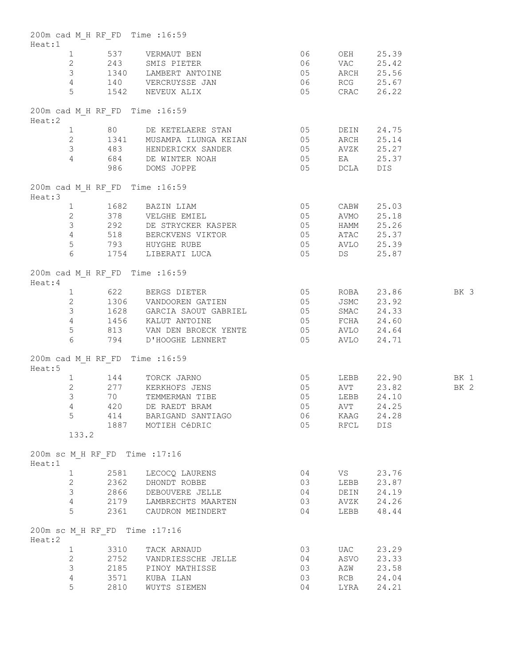| Heat:1 |                 |      | 200m cad M H RF FD Time : 16:59                                       |                                         |              |                 |      |
|--------|-----------------|------|-----------------------------------------------------------------------|-----------------------------------------|--------------|-----------------|------|
|        |                 |      | 1 537 VERMAUT BEN                                                     | 06 OEH 25.39<br>06 VAC 25.42            |              |                 |      |
|        |                 |      | 2 243 SMIS PIETER                                                     |                                         |              |                 |      |
|        |                 |      | 3 1340 LAMBERT ANTOINE 05 ARCH 25.56                                  |                                         |              |                 |      |
|        |                 |      |                                                                       |                                         |              |                 |      |
|        |                 |      | 4 140 VERCRUYSSE JAN 06 RCG 25.67<br>5 1542 NEVEUX ALIX 05 CRAC 26.22 |                                         |              |                 |      |
| Heat:2 |                 |      | 200m cad M H RF FD Time : 16:59                                       |                                         |              |                 |      |
|        |                 |      | 1 80 DE KETELAERE STAN 05                                             |                                         |              | DEIN 24.75      |      |
|        |                 |      | 2 1341 MUSAMPA ILUNGA KEIAN 05 ARCH 25.14                             |                                         |              |                 |      |
|        |                 |      | 3 483 HENDERICKX SANDER 05                                            |                                         |              | AVZK 25.27      |      |
|        |                 |      | 4 684 DE WINTER NOAH                                                  |                                         |              | EA 25.37        |      |
|        |                 |      | 986 DOMS JOPPE                                                        | 05 = EA = 25.3<br>05 = DCLA = DIS       |              |                 |      |
| Heat:3 |                 |      | 200m cad M H RF FD Time : 16:59                                       |                                         |              |                 |      |
|        |                 |      | 1 1682 BAZIN LIAM<br>2 378 VELGHE EMIEL                               | $\begin{array}{c} 05 \\ 05 \end{array}$ | CABW         | 25.03           |      |
|        |                 |      |                                                                       |                                         |              | AVMO 25.18      |      |
|        |                 |      | 3 292 DE STRYCKER KASPER 05 HAMM 25.26                                |                                         |              |                 |      |
|        |                 |      | 4 518 BERCKVENS VIKTOR 05 ATAC 25.37                                  |                                         |              |                 |      |
|        |                 |      | 5 793 HUYGHE RUBE                                                     |                                         |              | AVLO 25.39      |      |
|        | $6\overline{6}$ |      | $\sim$ 05<br>1754 LIBERATI LUCA 05                                    |                                         |              | DS 25.87        |      |
| Heat:4 |                 |      | 200m cad M H RF FD Time : 16:59                                       |                                         |              |                 |      |
|        |                 |      | 1 622 BERGS DIETER 1999 05<br>2 1306 VANDOOREN GATIEN 15              |                                         |              | ROBA 23.86      | BK 3 |
|        |                 |      |                                                                       |                                         |              | JSMC 23.92      |      |
|        |                 |      | 3 1628 GARCIA SAOUT GABRIEL 05                                        |                                         |              | SMAC 24.33      |      |
|        |                 |      | 4 1456 KALUT ANTOINE                                                  |                                         |              |                 |      |
|        | 5 <sup>1</sup>  |      |                                                                       |                                         |              |                 |      |
|        | $6\overline{6}$ |      | 794 D'HOOGHE LENNERT (05 AVLO 24.71                                   |                                         |              |                 |      |
| Heat:5 |                 |      | 200m cad M H RF FD Time : 16:59                                       |                                         |              |                 |      |
|        |                 |      | 1 144 TORCK JARNO                                                     | $\begin{array}{c} 05 \\ 05 \end{array}$ |              | LEBB 22.90 BK 1 |      |
|        | $\overline{2}$  |      | 277 KERKHOFS JENS                                                     |                                         |              | AVT 23.82       |      |
|        | $\mathcal{E}$   | 70   | TEMMERMAN TIBE 05                                                     |                                         |              | LEBB 24.10      | BK 2 |
|        | $\overline{4}$  |      |                                                                       |                                         |              |                 |      |
|        |                 |      | 420 DE RAEDT BRAM                                                     |                                         | 05 AVT 24.25 |                 |      |
|        | 5               |      | 414 BARIGAND SANTIAGO                                                 | 06                                      | KAAG         | 24.28           |      |
|        | 133.2           |      | 1887 MOTIEH CéDRIC                                                    | 05                                      | RFCL         | DIS             |      |
|        |                 |      |                                                                       |                                         |              |                 |      |
| Heat:1 |                 |      | 200m sc M H RF FD Time : 17:16                                        |                                         |              |                 |      |
|        | 1               |      | 2581 LECOCQ LAURENS                                                   | 04                                      | VS           | 23.76           |      |
|        | $\overline{2}$  |      | 2362 DHONDT ROBBE                                                     | 03                                      |              | LEBB 23.87      |      |
|        | 3               |      | 2866 DEBOUVERE JELLE                                                  | 04                                      |              | DEIN 24.19      |      |
|        | $\overline{4}$  |      | 2179 LAMBRECHTS MAARTEN                                               | 03                                      |              | AVZK 24.26      |      |
|        | 5               |      | 2361 CAUDRON MEINDERT                                                 | 04                                      |              | LEBB 48.44      |      |
| Heat:2 |                 |      | 200m sc M H RF FD Time : 17:16                                        |                                         |              |                 |      |
|        | $\mathbf{1}$    | 3310 | TACK ARNAUD                                                           | 03                                      | UAC          | 23.29           |      |
|        | $\mathbf{2}$    |      | 2752 VANDRIESSCHE JELLE                                               | 04                                      | ASVO         | 23.33           |      |
|        | 3               |      | 2185 PINOY MATHISSE                                                   | 03                                      | AZW          | 23.58           |      |
|        | 4               |      | 3571 KUBA ILAN                                                        | 03                                      | RCB          | 24.04           |      |
|        | 5               | 2810 | WUYTS SIEMEN                                                          | 04                                      | LYRA         | 24.21           |      |